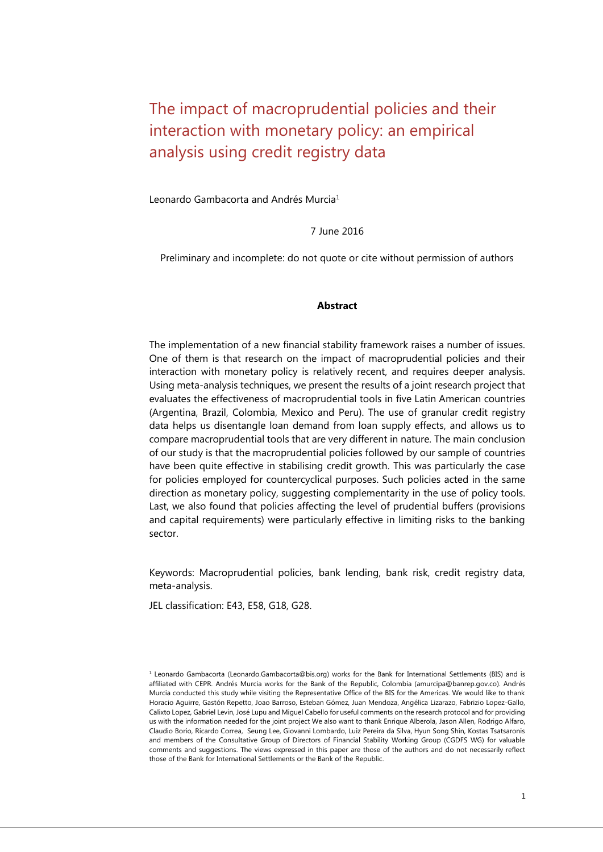# The impact of macroprudential policies and their interaction with monetary policy: an empirical analysis using credit registry data

Leonardo Gambacorta and Andrés Murcia<sup>1</sup>

7 June 2016

Preliminary and incomplete: do not quote or cite without permission of authors

#### **Abstract**

The implementation of a new financial stability framework raises a number of issues. One of them is that research on the impact of macroprudential policies and their interaction with monetary policy is relatively recent, and requires deeper analysis. Using meta-analysis techniques, we present the results of a joint research project that evaluates the effectiveness of macroprudential tools in five Latin American countries (Argentina, Brazil, Colombia, Mexico and Peru). The use of granular credit registry data helps us disentangle loan demand from loan supply effects, and allows us to compare macroprudential tools that are very different in nature. The main conclusion of our study is that the macroprudential policies followed by our sample of countries have been quite effective in stabilising credit growth. This was particularly the case for policies employed for countercyclical purposes. Such policies acted in the same direction as monetary policy, suggesting complementarity in the use of policy tools. Last, we also found that policies affecting the level of prudential buffers (provisions and capital requirements) were particularly effective in limiting risks to the banking sector.

Keywords: Macroprudential policies, bank lending, bank risk, credit registry data, meta-analysis.

JEL classification: E43, E58, G18, G28.

<sup>&</sup>lt;sup>1</sup> Leonardo Gambacorta [\(Leonardo.Gambacorta@bis.org\)](mailto:Leonardo.Gambacorta@bis.org) works for the Bank for International Settlements (BIS) and is affiliated with CEPR. Andrés Murcia works for the Bank of the Republic, Colombia [\(amurcipa@banrep.gov.co\).](mailto:amurcipa@banrep.gov.co) Andrés Murcia conducted this study while visiting the Representative Office of the BIS for the Americas. We would like to thank Horacio Aguirre, Gastón Repetto, Joao Barroso, Esteban Gómez, Juan Mendoza, Angélica Lizarazo, Fabrizio Lopez-Gallo, Calixto Lopez, Gabriel Levin, José Lupu and Miguel Cabello for useful comments on the research protocol and for providing us with the information needed for the joint project We also want to thank Enrique Alberola, Jason Allen, Rodrigo Alfaro, Claudio Borio, Ricardo Correa, Seung Lee, Giovanni Lombardo, Luiz Pereira da Silva, Hyun Song Shin, Kostas Tsatsaronis and members of the Consultative Group of Directors of Financial Stability Working Group (CGDFS WG) for valuable comments and suggestions. The views expressed in this paper are those of the authors and do not necessarily reflect those of the Bank for International Settlements or the Bank of the Republic.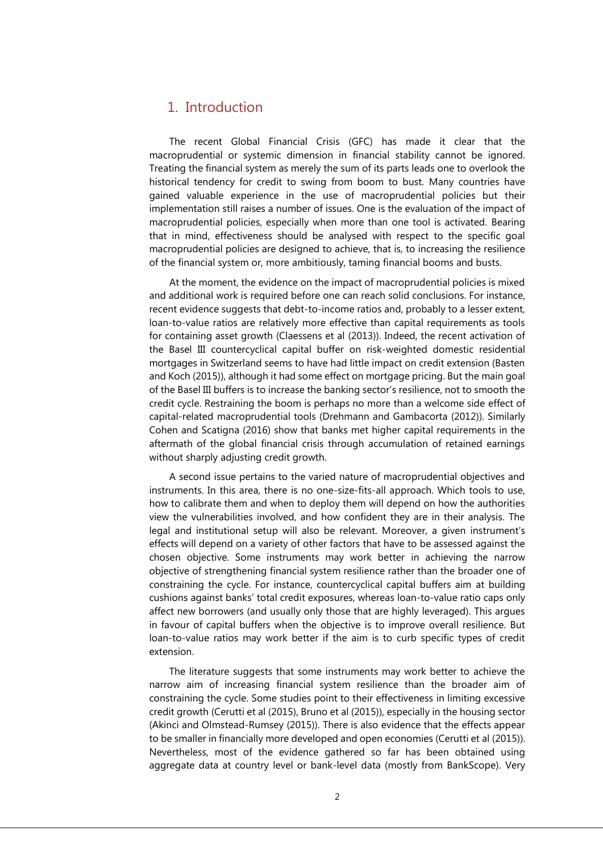## 1. Introduction

The recent Global Financial Crisis (GFC) has made it clear that the macroprudential or systemic dimension in financial stability cannot be ignored. Treating the financial system as merely the sum of its parts leads one to overlook the historical tendency for credit to swing from boom to bust. Many countries have gained valuable experience in the use of macroprudential policies but their implementation still raises a number of issues. One is the evaluation of the impact of macroprudential policies, especially when more than one tool is activated. Bearing that in mind, effectiveness should be analysed with respect to the specific goal macroprudential policies are designed to achieve, that is, to increasing the resilience of the financial system or, more ambitiously, taming financial booms and busts.

At the moment, the evidence on the impact of macroprudential policies is mixed and additional work is required before one can reach solid conclusions. For instance, recent evidence suggests that debt-to-income ratios and, probably to a lesser extent, loan-to-value ratios are relatively more effective than capital requirements as tools for containing asset growth (Claessens et al (2013)). Indeed, the recent activation of the Basel III countercyclical capital buffer on risk-weighted domestic residential mortgages in Switzerland seems to have had little impact on credit extension (Basten and Koch (2015)), although it had some effect on mortgage pricing. But the main goal of the Basel III buffers is to increase the banking sector's resilience, not to smooth the credit cycle. Restraining the boom is perhaps no more than a welcome side effect of capital-related macroprudential tools (Drehmann and Gambacorta (2012)). Similarly Cohen and Scatigna (2016) show that banks met higher capital requirements in the aftermath of the global financial crisis through accumulation of retained earnings without sharply adjusting credit growth.

A second issue pertains to the varied nature of macroprudential objectives and instruments. In this area, there is no one-size-fits-all approach. Which tools to use, how to calibrate them and when to deploy them will depend on how the authorities view the vulnerabilities involved, and how confident they are in their analysis. The legal and institutional setup will also be relevant. Moreover, a given instrument's effects will depend on a variety of other factors that have to be assessed against the chosen objective. Some instruments may work better in achieving the narrow objective of strengthening financial system resilience rather than the broader one of constraining the cycle. For instance, countercyclical capital buffers aim at building cushions against banks' total credit exposures, whereas loan-to-value ratio caps only affect new borrowers (and usually only those that are highly leveraged). This argues in favour of capital buffers when the objective is to improve overall resilience. But loan-to-value ratios may work better if the aim is to curb specific types of credit extension.

The literature suggests that some instruments may work better to achieve the narrow aim of increasing financial system resilience than the broader aim of constraining the cycle. Some studies point to their effectiveness in limiting excessive credit growth (Cerutti et al (2015), Bruno et al (2015)), especially in the housing sector (Akinci and Olmstead-Rumsey (2015)). There is also evidence that the effects appear to be smaller in financially more developed and open economies (Cerutti et al (2015)). Nevertheless, most of the evidence gathered so far has been obtained using aggregate data at country level or bank-level data (mostly from BankScope). Very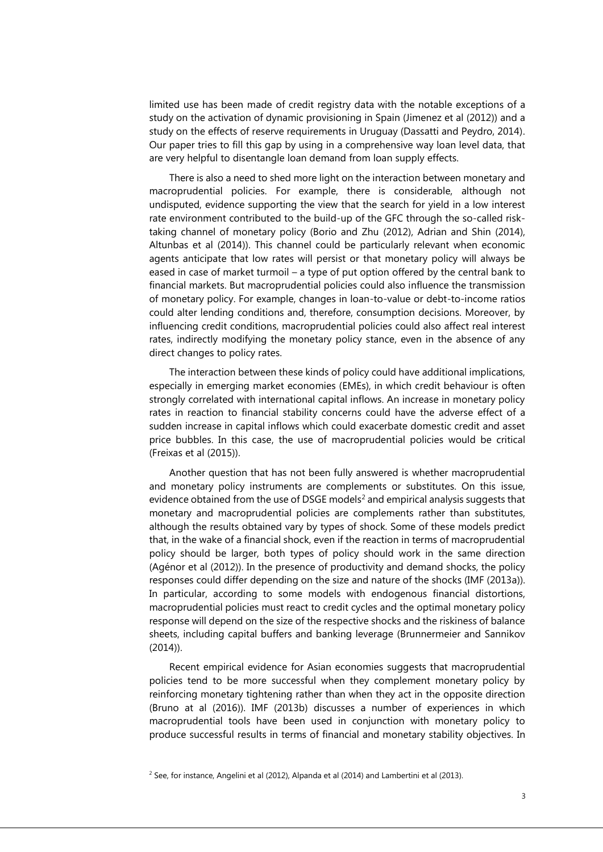limited use has been made of credit registry data with the notable exceptions of a study on the activation of dynamic provisioning in Spain (Jimenez et al (2012)) and a study on the effects of reserve requirements in Uruguay (Dassatti and Peydro, 2014). Our paper tries to fill this gap by using in a comprehensive way loan level data, that are very helpful to disentangle loan demand from loan supply effects.

There is also a need to shed more light on the interaction between monetary and macroprudential policies. For example, there is considerable, although not undisputed, evidence supporting the view that the search for yield in a low interest rate environment contributed to the build-up of the GFC through the so-called risktaking channel of monetary policy (Borio and Zhu (2012), Adrian and Shin (2014), Altunbas et al (2014)). This channel could be particularly relevant when economic agents anticipate that low rates will persist or that monetary policy will always be eased in case of market turmoil – a type of put option offered by the central bank to financial markets. But macroprudential policies could also influence the transmission of monetary policy. For example, changes in loan-to-value or debt-to-income ratios could alter lending conditions and, therefore, consumption decisions. Moreover, by influencing credit conditions, macroprudential policies could also affect real interest rates, indirectly modifying the monetary policy stance, even in the absence of any direct changes to policy rates.

The interaction between these kinds of policy could have additional implications, especially in emerging market economies (EMEs), in which credit behaviour is often strongly correlated with international capital inflows. An increase in monetary policy rates in reaction to financial stability concerns could have the adverse effect of a sudden increase in capital inflows which could exacerbate domestic credit and asset price bubbles. In this case, the use of macroprudential policies would be critical (Freixas et al (2015)).

Another question that has not been fully answered is whether macroprudential and monetary policy instruments are complements or substitutes. On this issue, evidence obtained from the use of DSGE models<sup>2</sup> and empirical analysis suggests that monetary and macroprudential policies are complements rather than substitutes, although the results obtained vary by types of shock. Some of these models predict that, in the wake of a financial shock, even if the reaction in terms of macroprudential policy should be larger, both types of policy should work in the same direction (Agénor et al (2012)). In the presence of productivity and demand shocks, the policy responses could differ depending on the size and nature of the shocks (IMF (2013a)). In particular, according to some models with endogenous financial distortions, macroprudential policies must react to credit cycles and the optimal monetary policy response will depend on the size of the respective shocks and the riskiness of balance sheets, including capital buffers and banking leverage (Brunnermeier and Sannikov (2014)).

Recent empirical evidence for Asian economies suggests that macroprudential policies tend to be more successful when they complement monetary policy by reinforcing monetary tightening rather than when they act in the opposite direction (Bruno at al (2016)). IMF (2013b) discusses a number of experiences in which macroprudential tools have been used in conjunction with monetary policy to produce successful results in terms of financial and monetary stability objectives. In

 $2$  See, for instance, Angelini et al (2012), Alpanda et al (2014) and Lambertini et al (2013).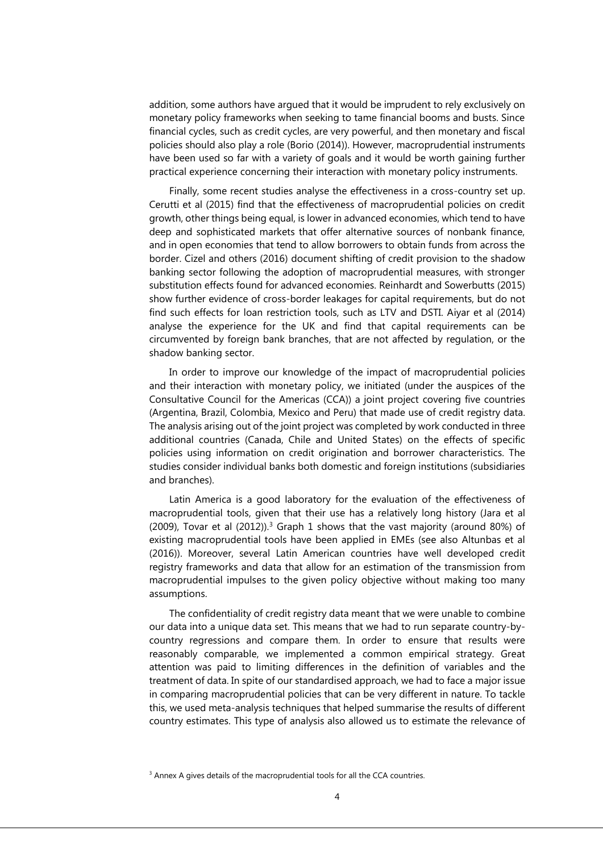addition, some authors have argued that it would be imprudent to rely exclusively on monetary policy frameworks when seeking to tame financial booms and busts. Since financial cycles, such as credit cycles, are very powerful, and then monetary and fiscal policies should also play a role (Borio (2014)). However, macroprudential instruments have been used so far with a variety of goals and it would be worth gaining further practical experience concerning their interaction with monetary policy instruments.

Finally, some recent studies analyse the effectiveness in a cross-country set up. Cerutti et al (2015) find that the effectiveness of macroprudential policies on credit growth, other things being equal, is lower in advanced economies, which tend to have deep and sophisticated markets that offer alternative sources of nonbank finance, and in open economies that tend to allow borrowers to obtain funds from across the border. [Cizel and others \(2016\)](https://www.imf.org/external/pubs/ft/wp/2016/wp1694.pdf) document shifting of credit provision to the shadow banking sector following the adoption of macroprudential measures, with stronger substitution effects found for advanced economies. [Reinhardt and Sowerbutts \(2015\)](http://www.bankofengland.co.uk/research/Documents/workingpapers/2015/swp546.pdf) show further evidence of cross-border leakages for capital requirements, but do not find such effects for loan restriction tools, such as LTV and DSTI. Aiyar et al (2014) analyse the experience for the UK and find that capital requirements can be circumvented by foreign bank branches, that are not affected by regulation, or the shadow banking sector.

In order to improve our knowledge of the impact of macroprudential policies and their interaction with monetary policy, we initiated (under the auspices of the Consultative Council for the Americas (CCA)) a joint project covering five countries (Argentina, Brazil, Colombia, Mexico and Peru) that made use of credit registry data. The analysis arising out of the joint project was completed by work conducted in three additional countries (Canada, Chile and United States) on the effects of specific policies using information on credit origination and borrower characteristics. The studies consider individual banks both domestic and foreign institutions (subsidiaries and branches).

Latin America is a good laboratory for the evaluation of the effectiveness of macroprudential tools, given that their use has a relatively long history (Jara et al (2009), Tovar et al (2012)). <sup>3</sup> Graph 1 shows that the vast majority (around 80%) of existing macroprudential tools have been applied in EMEs (see also Altunbas et al (2016)). Moreover, several Latin American countries have well developed credit registry frameworks and data that allow for an estimation of the transmission from macroprudential impulses to the given policy objective without making too many assumptions.

The confidentiality of credit registry data meant that we were unable to combine our data into a unique data set. This means that we had to run separate country-bycountry regressions and compare them. In order to ensure that results were reasonably comparable, we implemented a common empirical strategy. Great attention was paid to limiting differences in the definition of variables and the treatment of data. In spite of our standardised approach, we had to face a major issue in comparing macroprudential policies that can be very different in nature. To tackle this, we used meta-analysis techniques that helped summarise the results of different country estimates. This type of analysis also allowed us to estimate the relevance of

<sup>&</sup>lt;sup>3</sup> Annex A gives details of the macroprudential tools for all the CCA countries.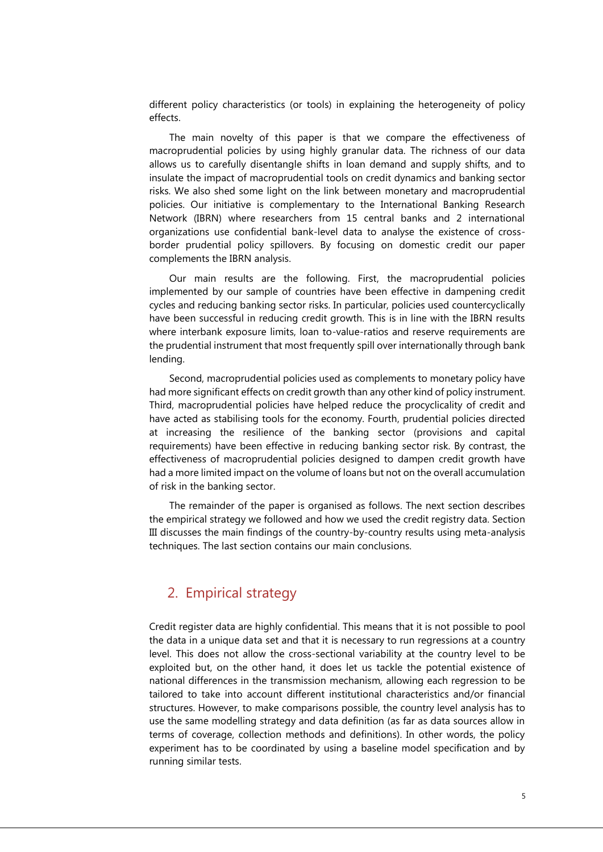different policy characteristics (or tools) in explaining the heterogeneity of policy effects.

The main novelty of this paper is that we compare the effectiveness of macroprudential policies by using highly granular data. The richness of our data allows us to carefully disentangle shifts in loan demand and supply shifts, and to insulate the impact of macroprudential tools on credit dynamics and banking sector risks. We also shed some light on the link between monetary and macroprudential policies. Our initiative is complementary to the International Banking Research Network (IBRN) where researchers from 15 central banks and 2 international organizations use confidential bank-level data to analyse the existence of crossborder prudential policy spillovers. By focusing on domestic credit our paper complements the IBRN analysis.

Our main results are the following. First, the macroprudential policies implemented by our sample of countries have been effective in dampening credit cycles and reducing banking sector risks. In particular, policies used countercyclically have been successful in reducing credit growth. This is in line with the IBRN results where interbank exposure limits, loan to-value-ratios and reserve requirements are the prudential instrument that most frequently spill over internationally through bank lending.

Second, macroprudential policies used as complements to monetary policy have had more significant effects on credit growth than any other kind of policy instrument. Third, macroprudential policies have helped reduce the procyclicality of credit and have acted as stabilising tools for the economy. Fourth, prudential policies directed at increasing the resilience of the banking sector (provisions and capital requirements) have been effective in reducing banking sector risk. By contrast, the effectiveness of macroprudential policies designed to dampen credit growth have had a more limited impact on the volume of loans but not on the overall accumulation of risk in the banking sector.

The remainder of the paper is organised as follows. The next section describes the empirical strategy we followed and how we used the credit registry data. Section III discusses the main findings of the country-by-country results using meta-analysis techniques. The last section contains our main conclusions.

## 2. Empirical strategy

Credit register data are highly confidential. This means that it is not possible to pool the data in a unique data set and that it is necessary to run regressions at a country level. This does not allow the cross-sectional variability at the country level to be exploited but, on the other hand, it does let us tackle the potential existence of national differences in the transmission mechanism, allowing each regression to be tailored to take into account different institutional characteristics and/or financial structures. However, to make comparisons possible, the country level analysis has to use the same modelling strategy and data definition (as far as data sources allow in terms of coverage, collection methods and definitions). In other words, the policy experiment has to be coordinated by using a baseline model specification and by running similar tests.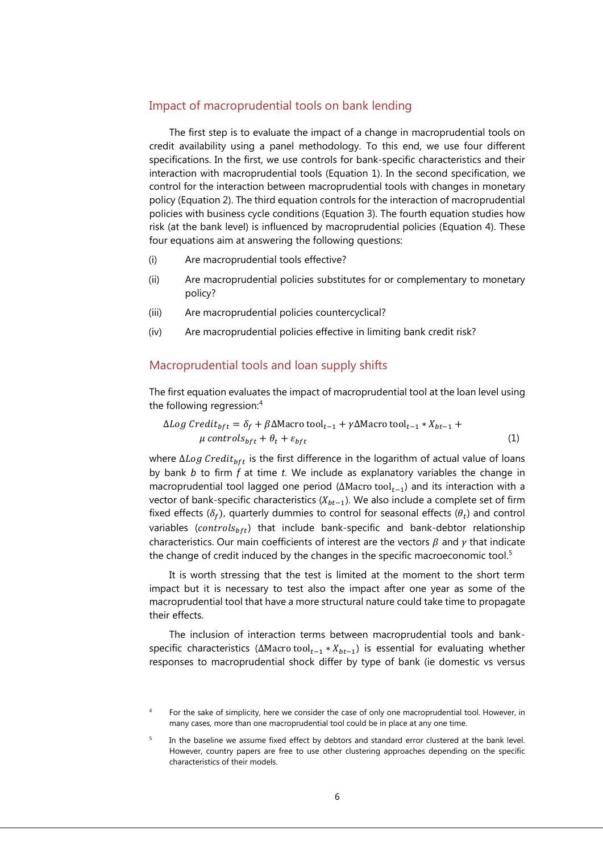#### Impact of macroprudential tools on bank lending

The first step is to evaluate the impact of a change in macroprudential tools on credit availability using a panel methodology. To this end, we use four different specifications. In the first, we use controls for bank-specific characteristics and their interaction with macroprudential tools (Equation 1). In the second specification, we control for the interaction between macroprudential tools with changes in monetary policy (Equation 2). The third equation controls for the interaction of macroprudential policies with business cycle conditions (Equation 3). The fourth equation studies how risk (at the bank level) is influenced by macroprudential policies (Equation 4). These four equations aim at answering the following questions:

- (i) Are macroprudential tools effective?
- (ii) Are macroprudential policies substitutes for or complementary to monetary policy?
- (iii) Are macroprudential policies countercyclical?
- (iv) Are macroprudential policies effective in limiting bank credit risk?

#### Macroprudential tools and loan supply shifts

The first equation evaluates the impact of macroprudential tool at the loan level using the following regression: 4

$$
\Delta Log\ Credit_{bft} = \delta_f + \beta \Delta \text{Macro tool}_{t-1} + \gamma \Delta \text{Macro tool}_{t-1} * X_{bt-1} + \mu \text{ controls}_{bft} + \theta_t + \varepsilon_{bft}
$$
\n
$$
(1)
$$

where  $\Delta Log$  Credit<sub>bft</sub> is the first difference in the logarithm of actual value of loans by bank *b* to firm *f* at time *t*. We include as explanatory variables the change in macroprudential tool lagged one period ( $\Delta$ Macro tool<sub>t−1</sub>) and its interaction with a vector of bank-specific characteristics ( $X_{bt-1}$ ). We also include a complete set of firm fixed effects ( $\delta_f$ ), quarterly dummies to control for seasonal effects ( $\theta_t$ ) and control variables (controls $_{bft}$ ) that include bank-specific and bank-debtor relationship characteristics. Our main coefficients of interest are the vectors  $\beta$  and  $\gamma$  that indicate the change of credit induced by the changes in the specific macroeconomic tool.<sup>5</sup>

It is worth stressing that the test is limited at the moment to the short term impact but it is necessary to test also the impact after one year as some of the macroprudential tool that have a more structural nature could take time to propagate their effects.

The inclusion of interaction terms between macroprudential tools and bankspecific characteristics (ΔMacro tool<sub>t-1</sub> \*  $X_{bt-1}$ ) is essential for evaluating whether responses to macroprudential shock differ by type of bank (ie domestic vs versus

<sup>4</sup> For the sake of simplicity, here we consider the case of only one macroprudential tool. However, in many cases, more than one macroprudential tool could be in place at any one time.

<sup>5</sup> In the baseline we assume fixed effect by debtors and standard error clustered at the bank level. However, country papers are free to use other clustering approaches depending on the specific characteristics of their models.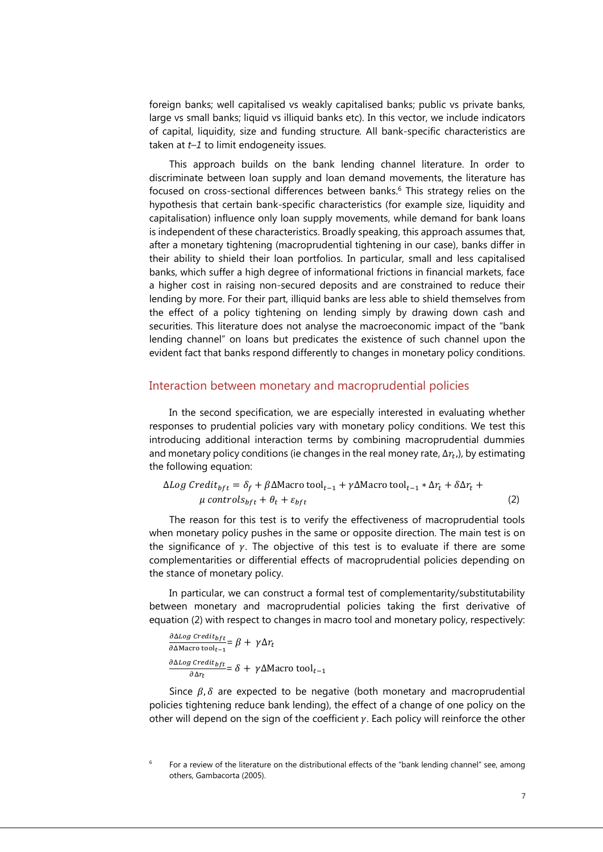foreign banks; well capitalised vs weakly capitalised banks; public vs private banks, large vs small banks; liquid vs illiquid banks etc)*.* In this vector, we include indicators of capital, liquidity, size and funding structure*.* All bank-specific characteristics are taken at *t–1* to limit endogeneity issues.

This approach builds on the bank lending channel literature. In order to discriminate between loan supply and loan demand movements, the literature has focused on cross-sectional differences between banks.<sup>6</sup> This strategy relies on the hypothesis that certain bank-specific characteristics (for example size, liquidity and capitalisation) influence only loan supply movements, while demand for bank loans is independent of these characteristics. Broadly speaking, this approach assumes that, after a monetary tightening (macroprudential tightening in our case), banks differ in their ability to shield their loan portfolios. In particular, small and less capitalised banks, which suffer a high degree of informational frictions in financial markets, face a higher cost in raising non-secured deposits and are constrained to reduce their lending by more. For their part, illiquid banks are less able to shield themselves from the effect of a policy tightening on lending simply by drawing down cash and securities. This literature does not analyse the macroeconomic impact of the "bank lending channel" on loans but predicates the existence of such channel upon the evident fact that banks respond differently to changes in monetary policy conditions.

#### Interaction between monetary and macroprudential policies

In the second specification, we are especially interested in evaluating whether responses to prudential policies vary with monetary policy conditions. We test this introducing additional interaction terms by combining macroprudential dummies and monetary policy conditions (ie changes in the real money rate,  $\Delta r_t$ ,), by estimating the following equation:

$$
\Delta Log \, Credit_{bft} = \delta_f + \beta \Delta \text{Macro tool}_{t-1} + \gamma \Delta \text{Macro tool}_{t-1} * \Delta r_t + \delta \Delta r_t + \mu \, controls_{bft} + \theta_t + \varepsilon_{bft}
$$
\n
$$
(2)
$$

The reason for this test is to verify the effectiveness of macroprudential tools when monetary policy pushes in the same or opposite direction. The main test is on the significance of  $\gamma$ . The objective of this test is to evaluate if there are some complementarities or differential effects of macroprudential policies depending on the stance of monetary policy.

In particular, we can construct a formal test of complementarity/substitutability between monetary and macroprudential policies taking the first derivative of equation (2) with respect to changes in macro tool and monetary policy, respectively:

$$
\frac{\partial \Delta Log \, Credit_{bft}}{\partial \Delta \text{Mactor tool}_{t-1}} = \beta + \gamma \Delta r_t
$$
\n
$$
\frac{\partial \Delta Log \, Credit_{bft}}{\partial \Delta r_t} = \delta + \gamma \Delta \text{Mactor tool}_{t-1}
$$

Since  $\beta$ ,  $\delta$  are expected to be negative (both monetary and macroprudential policies tightening reduce bank lending), the effect of a change of one policy on the other will depend on the sign of the coefficient  $\gamma$ . Each policy will reinforce the other

<sup>6</sup> For a review of the literature on the distributional effects of the "bank lending channel" see, among others, Gambacorta (2005).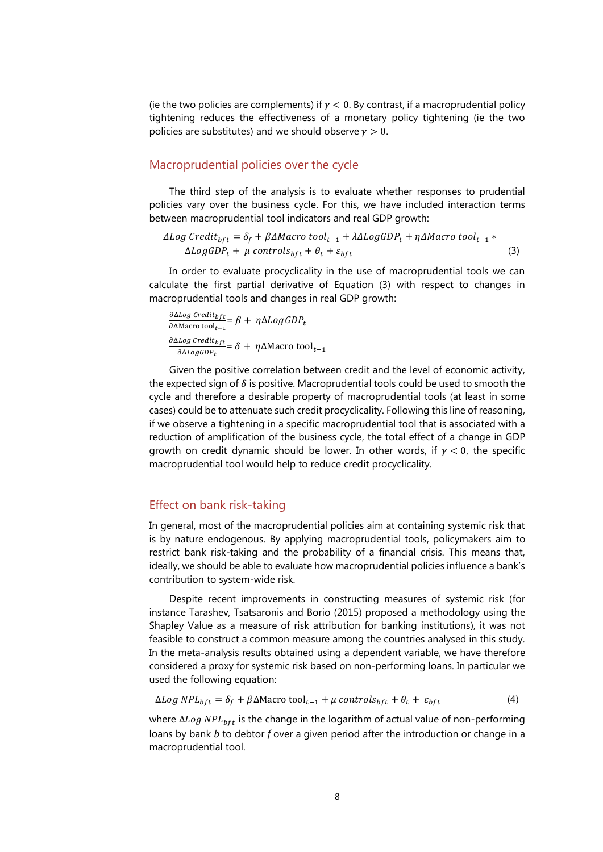(ie the two policies are complements) if  $\gamma$  < 0. By contrast, if a macroprudential policy tightening reduces the effectiveness of a monetary policy tightening (ie the two policies are substitutes) and we should observe  $\gamma > 0$ .

#### Macroprudential policies over the cycle

The third step of the analysis is to evaluate whether responses to prudential policies vary over the business cycle. For this, we have included interaction terms between macroprudential tool indicators and real GDP growth:

$$
\Delta Log Credit_{bft} = \delta_f + \beta \Delta Marcotool_{t-1} + \lambda \Delta Log GDP_t + \eta \Delta Macro tool_{t-1} * \Delta Log GDP_t + \mu controls_{bft} + \theta_t + \varepsilon_{bft}
$$
\n(3)

In order to evaluate procyclicality in the use of macroprudential tools we can calculate the first partial derivative of Equation (3) with respect to changes in macroprudential tools and changes in real GDP growth:

∂∆Log Credit<sub>bft</sub>  $\frac{\partial L \partial S}{\partial \Delta M \text{accro tool}_{t-1}} = \beta + \eta \Delta Log GDP_t$ ∂∆Log Credit<sub>bft</sub>  $\frac{1}{\partial \Delta Log GDP_t} = \delta + \eta \Delta M$ acro tool<sub>t−1</sub>

Given the positive correlation between credit and the level of economic activity, the expected sign of  $\delta$  is positive. Macroprudential tools could be used to smooth the cycle and therefore a desirable property of macroprudential tools (at least in some cases) could be to attenuate such credit procyclicality. Following this line of reasoning, if we observe a tightening in a specific macroprudential tool that is associated with a reduction of amplification of the business cycle, the total effect of a change in GDP growth on credit dynamic should be lower. In other words, if  $\gamma < 0$ , the specific macroprudential tool would help to reduce credit procyclicality.

#### Effect on bank risk-taking

In general, most of the macroprudential policies aim at containing systemic risk that is by nature endogenous. By applying macroprudential tools, policymakers aim to restrict bank risk-taking and the probability of a financial crisis. This means that, ideally, we should be able to evaluate how macroprudential policies influence a bank's contribution to system-wide risk.

Despite recent improvements in constructing measures of systemic risk (for instance Tarashev, Tsatsaronis and Borio (2015) proposed a methodology using the Shapley Value as a measure of risk attribution for banking institutions), it was not feasible to construct a common measure among the countries analysed in this study. In the meta-analysis results obtained using a dependent variable, we have therefore considered a proxy for systemic risk based on non-performing loans. In particular we used the following equation:

$$
\Delta Log NPL_{bft} = \delta_f + \beta \Delta Macro \, \text{tool}_{t-1} + \mu \, \text{controls}_{bft} + \theta_t + \varepsilon_{bft} \tag{4}
$$

where  $\Delta Log \, NPL_{bft}$  is the change in the logarithm of actual value of non-performing loans by bank *b* to debtor *f* over a given period after the introduction or change in a macroprudential tool.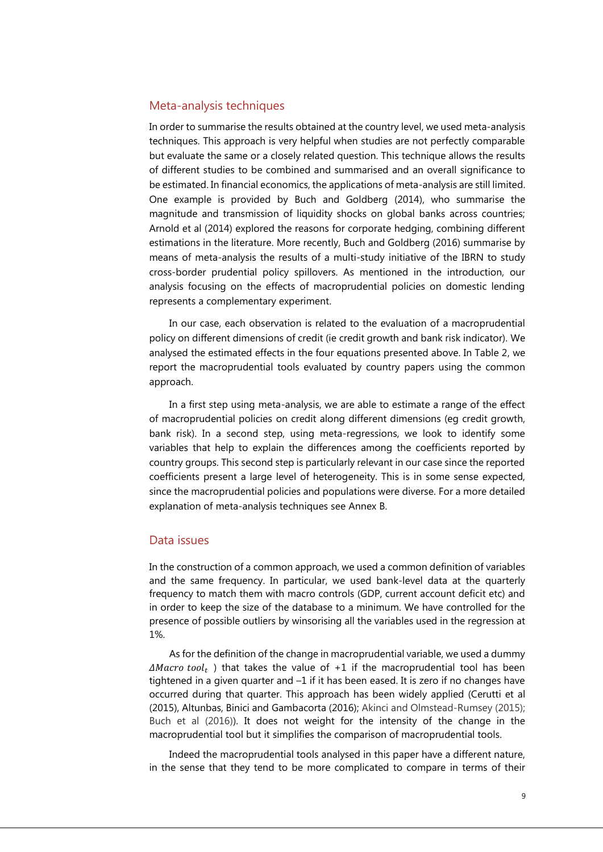#### Meta-analysis techniques

In order to summarise the results obtained at the country level, we used meta-analysis techniques. This approach is very helpful when studies are not perfectly comparable but evaluate the same or a closely related question. This technique allows the results of different studies to be combined and summarised and an overall significance to be estimated. In financial economics, the applications of meta-analysis are still limited. One example is provided by Buch and Goldberg (2014), who summarise the magnitude and transmission of liquidity shocks on global banks across countries; Arnold et al (2014) explored the reasons for corporate hedging, combining different estimations in the literature. More recently, Buch and Goldberg (2016) summarise by means of meta-analysis the results of a multi-study initiative of the IBRN to study cross-border prudential policy spillovers. As mentioned in the introduction, our analysis focusing on the effects of macroprudential policies on domestic lending represents a complementary experiment.

In our case, each observation is related to the evaluation of a macroprudential policy on different dimensions of credit (ie credit growth and bank risk indicator). We analysed the estimated effects in the four equations presented above. In Table 2, we report the macroprudential tools evaluated by country papers using the common approach.

In a first step using meta-analysis, we are able to estimate a range of the effect of macroprudential policies on credit along different dimensions (eg credit growth, bank risk). In a second step, using meta-regressions, we look to identify some variables that help to explain the differences among the coefficients reported by country groups. This second step is particularly relevant in our case since the reported coefficients present a large level of heterogeneity. This is in some sense expected, since the macroprudential policies and populations were diverse. For a more detailed explanation of meta-analysis techniques see Annex B.

#### Data issues

In the construction of a common approach, we used a common definition of variables and the same frequency. In particular, we used bank-level data at the quarterly frequency to match them with macro controls (GDP, current account deficit etc) and in order to keep the size of the database to a minimum. We have controlled for the presence of possible outliers by winsorising all the variables used in the regression at 1%.

As for the definition of the change in macroprudential variable, we used a dummy  $\Delta Maccro\ tool_t$  ) that takes the value of +1 if the macroprudential tool has been tightened in a given quarter and –1 if it has been eased. It is zero if no changes have occurred during that quarter. This approach has been widely applied (Cerutti et al (2015), Altunbas, Binici and Gambacorta (2016); Akinci and Olmstead-Rumsey (2015); Buch et al (2016)). It does not weight for the intensity of the change in the macroprudential tool but it simplifies the comparison of macroprudential tools.

Indeed the macroprudential tools analysed in this paper have a different nature, in the sense that they tend to be more complicated to compare in terms of their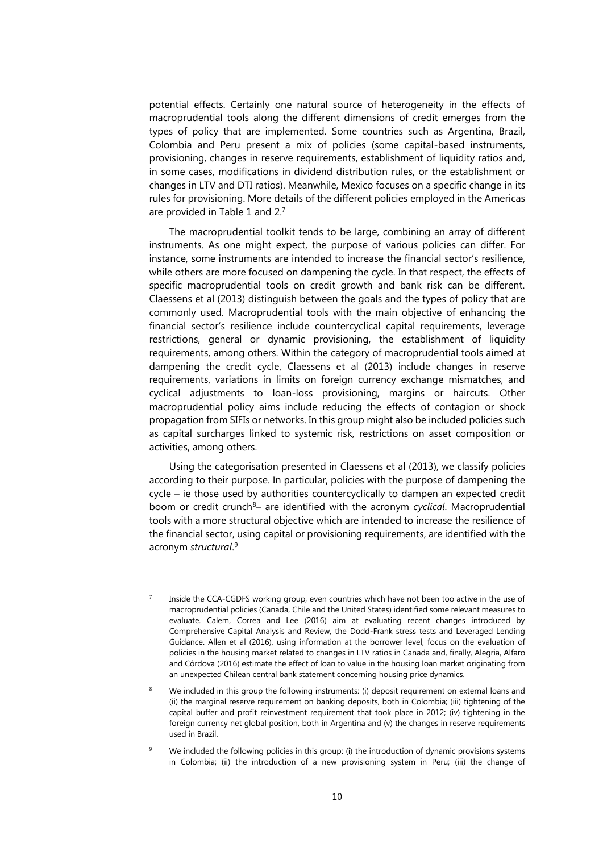potential effects. Certainly one natural source of heterogeneity in the effects of macroprudential tools along the different dimensions of credit emerges from the types of policy that are implemented. Some countries such as Argentina, Brazil, Colombia and Peru present a mix of policies (some capital-based instruments, provisioning, changes in reserve requirements, establishment of liquidity ratios and, in some cases, modifications in dividend distribution rules, or the establishment or changes in LTV and DTI ratios). Meanwhile, Mexico focuses on a specific change in its rules for provisioning. More details of the different policies employed in the Americas are provided in Table 1 and 2.7

The macroprudential toolkit tends to be large, combining an array of different instruments. As one might expect, the purpose of various policies can differ. For instance, some instruments are intended to increase the financial sector's resilience, while others are more focused on dampening the cycle. In that respect, the effects of specific macroprudential tools on credit growth and bank risk can be different. Claessens et al (2013) distinguish between the goals and the types of policy that are commonly used. Macroprudential tools with the main objective of enhancing the financial sector's resilience include countercyclical capital requirements, leverage restrictions, general or dynamic provisioning, the establishment of liquidity requirements, among others. Within the category of macroprudential tools aimed at dampening the credit cycle, Claessens et al (2013) include changes in reserve requirements, variations in limits on foreign currency exchange mismatches, and cyclical adjustments to loan-loss provisioning, margins or haircuts. Other macroprudential policy aims include reducing the effects of contagion or shock propagation from SIFIs or networks. In this group might also be included policies such as capital surcharges linked to systemic risk, restrictions on asset composition or activities, among others.

Using the categorisation presented in Claessens et al (2013), we classify policies according to their purpose. In particular, policies with the purpose of dampening the cycle – ie those used by authorities countercyclically to dampen an expected credit boom or credit crunch<sup>8</sup>– are identified with the acronym *cyclical*. Macroprudential tools with a more structural objective which are intended to increase the resilience of the financial sector, using capital or provisioning requirements, are identified with the acronym *structural*. 9

- 7 Inside the CCA-CGDFS working group, even countries which have not been too active in the use of macroprudential policies (Canada, Chile and the United States) identified some relevant measures to evaluate. Calem, Correa and Lee (2016) aim at evaluating recent changes introduced by Comprehensive Capital Analysis and Review, the Dodd-Frank stress tests and Leveraged Lending Guidance. Allen et al (2016), using information at the borrower level, focus on the evaluation of policies in the housing market related to changes in LTV ratios in Canada and, finally, Alegria, Alfaro and Córdova (2016) estimate the effect of loan to value in the housing loan market originating from an unexpected Chilean central bank statement concerning housing price dynamics.
- 8 We included in this group the following instruments: (i) deposit requirement on external loans and (ii) the marginal reserve requirement on banking deposits, both in Colombia; (iii) tightening of the capital buffer and profit reinvestment requirement that took place in 2012; (iv) tightening in the foreign currency net global position, both in Argentina and (v) the changes in reserve requirements used in Brazil.
- 9 We included the following policies in this group: (i) the introduction of dynamic provisions systems in Colombia; (ii) the introduction of a new provisioning system in Peru; (iii) the change of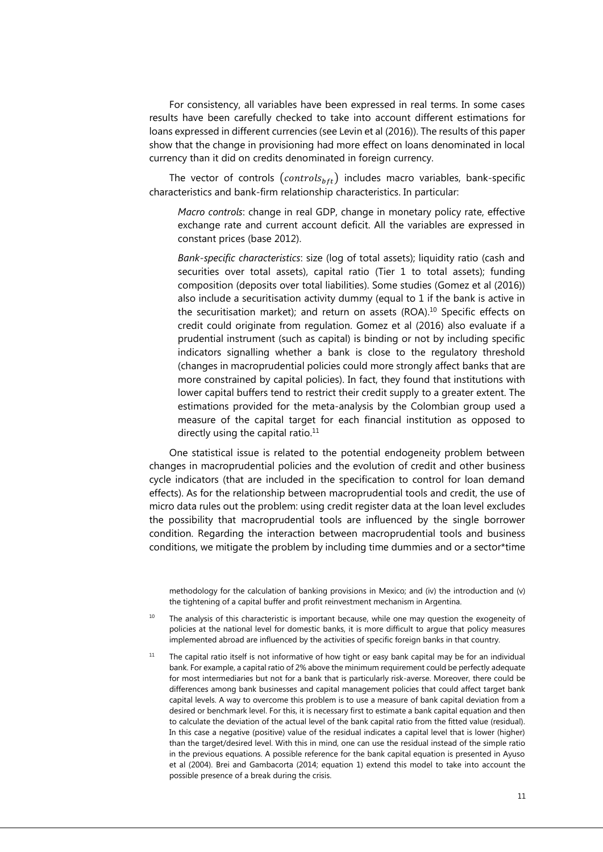For consistency, all variables have been expressed in real terms. In some cases results have been carefully checked to take into account different estimations for loans expressed in different currencies (see Levin et al (2016)). The results of this paper show that the change in provisioning had more effect on loans denominated in local currency than it did on credits denominated in foreign currency.

The vector of controls  $(controls_{bft})$  includes macro variables, bank-specific characteristics and bank-firm relationship characteristics. In particular:

*Macro controls*: change in real GDP, change in monetary policy rate, effective exchange rate and current account deficit. All the variables are expressed in constant prices (base 2012).

*Bank-specific characteristics*: size (log of total assets); liquidity ratio (cash and securities over total assets), capital ratio (Tier 1 to total assets); funding composition (deposits over total liabilities). Some studies (Gomez et al (2016)) also include a securitisation activity dummy (equal to 1 if the bank is active in the securitisation market); and return on assets (ROA). <sup>10</sup> Specific effects on credit could originate from regulation. Gomez et al (2016) also evaluate if a prudential instrument (such as capital) is binding or not by including specific indicators signalling whether a bank is close to the regulatory threshold (changes in macroprudential policies could more strongly affect banks that are more constrained by capital policies). In fact, they found that institutions with lower capital buffers tend to restrict their credit supply to a greater extent. The estimations provided for the meta-analysis by the Colombian group used a measure of the capital target for each financial institution as opposed to directly using the capital ratio.<sup>11</sup>

One statistical issue is related to the potential endogeneity problem between changes in macroprudential policies and the evolution of credit and other business cycle indicators (that are included in the specification to control for loan demand effects). As for the relationship between macroprudential tools and credit, the use of micro data rules out the problem: using credit register data at the loan level excludes the possibility that macroprudential tools are influenced by the single borrower condition. Regarding the interaction between macroprudential tools and business conditions, we mitigate the problem by including time dummies and or a sector\*time

methodology for the calculation of banking provisions in Mexico; and (iv) the introduction and (v) the tightening of a capital buffer and profit reinvestment mechanism in Argentina.

- <sup>10</sup> The analysis of this characteristic is important because, while one may question the exogeneity of policies at the national level for domestic banks, it is more difficult to argue that policy measures implemented abroad are influenced by the activities of specific foreign banks in that country.
- $11$  The capital ratio itself is not informative of how tight or easy bank capital may be for an individual bank. For example, a capital ratio of 2% above the minimum requirement could be perfectly adequate for most intermediaries but not for a bank that is particularly risk-averse. Moreover, there could be differences among bank businesses and capital management policies that could affect target bank capital levels. A way to overcome this problem is to use a measure of bank capital deviation from a desired or benchmark level. For this, it is necessary first to estimate a bank capital equation and then to calculate the deviation of the actual level of the bank capital ratio from the fitted value (residual). In this case a negative (positive) value of the residual indicates a capital level that is lower (higher) than the target/desired level. With this in mind, one can use the residual instead of the simple ratio in the previous equations. A possible reference for the bank capital equation is presented in Ayuso et al (2004). Brei and Gambacorta (2014; equation 1) extend this model to take into account the possible presence of a break during the crisis.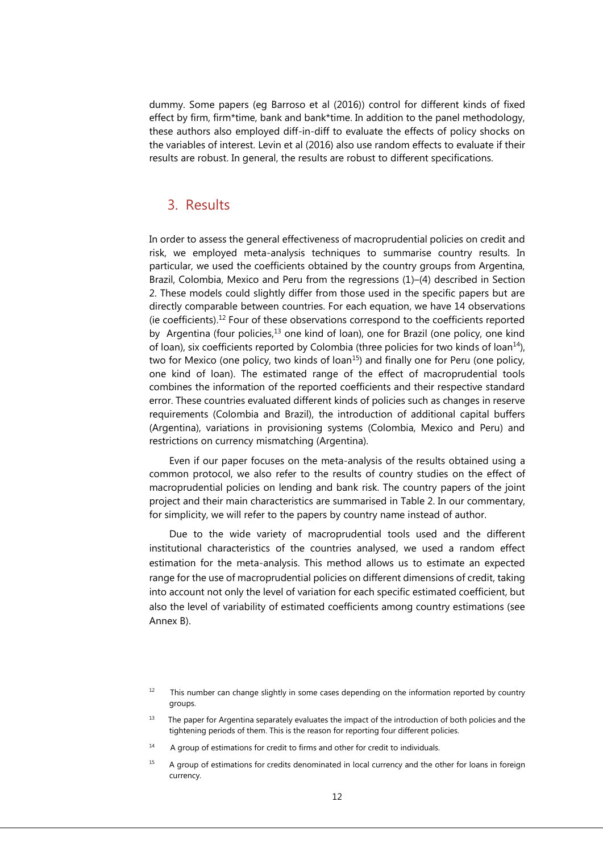dummy. Some papers (eg Barroso et al (2016)) control for different kinds of fixed effect by firm, firm\*time, bank and bank\*time. In addition to the panel methodology, these authors also employed diff-in-diff to evaluate the effects of policy shocks on the variables of interest. Levin et al (2016) also use random effects to evaluate if their results are robust. In general, the results are robust to different specifications.

## 3. Results

In order to assess the general effectiveness of macroprudential policies on credit and risk, we employed meta-analysis techniques to summarise country results. In particular, we used the coefficients obtained by the country groups from Argentina, Brazil, Colombia, Mexico and Peru from the regressions (1)–(4) described in Section 2. These models could slightly differ from those used in the specific papers but are directly comparable between countries. For each equation, we have 14 observations (ie coefficients). <sup>12</sup> Four of these observations correspond to the coefficients reported by Argentina (four policies,<sup>13</sup> one kind of loan), one for Brazil (one policy, one kind of loan), six coefficients reported by Colombia (three policies for two kinds of loan $^{14}$ ), two for Mexico (one policy, two kinds of loan<sup>15</sup>) and finally one for Peru (one policy, one kind of loan). The estimated range of the effect of macroprudential tools combines the information of the reported coefficients and their respective standard error. These countries evaluated different kinds of policies such as changes in reserve requirements (Colombia and Brazil), the introduction of additional capital buffers (Argentina), variations in provisioning systems (Colombia, Mexico and Peru) and restrictions on currency mismatching (Argentina).

Even if our paper focuses on the meta-analysis of the results obtained using a common protocol, we also refer to the results of country studies on the effect of macroprudential policies on lending and bank risk. The country papers of the joint project and their main characteristics are summarised in Table 2. In our commentary, for simplicity, we will refer to the papers by country name instead of author.

Due to the wide variety of macroprudential tools used and the different institutional characteristics of the countries analysed, we used a random effect estimation for the meta-analysis. This method allows us to estimate an expected range for the use of macroprudential policies on different dimensions of credit, taking into account not only the level of variation for each specific estimated coefficient, but also the level of variability of estimated coefficients among country estimations (see Annex B).

- 14 A group of estimations for credit to firms and other for credit to individuals.
- <sup>15</sup> A group of estimations for credits denominated in local currency and the other for loans in foreign currency.

<sup>12</sup> This number can change slightly in some cases depending on the information reported by country groups.

<sup>13</sup> The paper for Argentina separately evaluates the impact of the introduction of both policies and the tightening periods of them. This is the reason for reporting four different policies.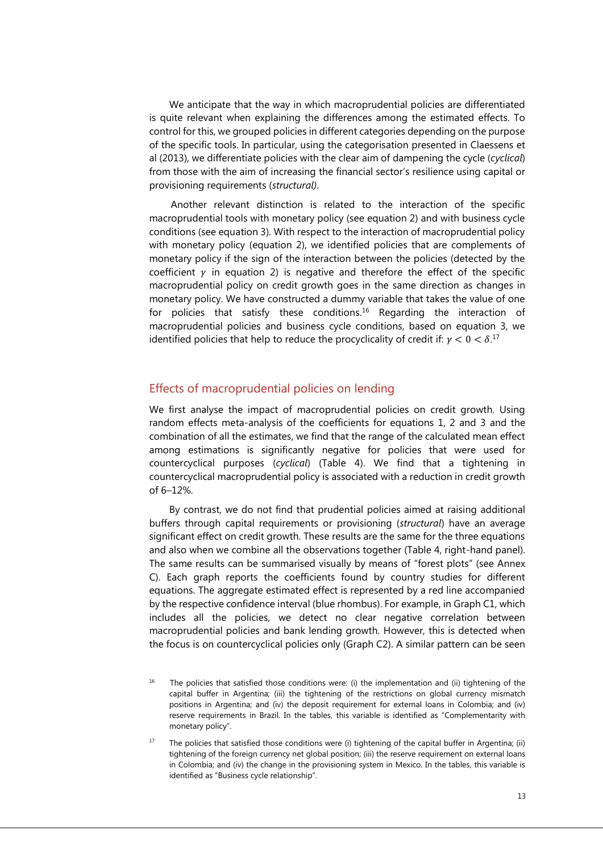We anticipate that the way in which macroprudential policies are differentiated is quite relevant when explaining the differences among the estimated effects. To control for this, we grouped policies in different categories depending on the purpose of the specific tools. In particular, using the categorisation presented in Claessens et al (2013), we differentiate policies with the clear aim of dampening the cycle (*cyclical*) from those with the aim of increasing the financial sector's resilience using capital or provisioning requirements (*structural)*.

Another relevant distinction is related to the interaction of the specific macroprudential tools with monetary policy (see equation 2) and with business cycle conditions (see equation 3). With respect to the interaction of macroprudential policy with monetary policy (equation 2), we identified policies that are complements of monetary policy if the sign of the interaction between the policies (detected by the coefficient  $\gamma$  in equation 2) is negative and therefore the effect of the specific macroprudential policy on credit growth goes in the same direction as changes in monetary policy. We have constructed a dummy variable that takes the value of one for policies that satisfy these conditions. <sup>16</sup> Regarding the interaction of macroprudential policies and business cycle conditions, based on equation 3, we identified policies that help to reduce the procyclicality of credit if:  $\gamma < 0 < \delta$ .<sup>17</sup>

#### Effects of macroprudential policies on lending

We first analyse the impact of macroprudential policies on credit growth. Using random effects meta-analysis of the coefficients for equations 1, 2 and 3 and the combination of all the estimates, we find that the range of the calculated mean effect among estimations is significantly negative for policies that were used for countercyclical purposes (*cyclical*) (Table 4). We find that a tightening in countercyclical macroprudential policy is associated with a reduction in credit growth of 6–12%.

By contrast, we do not find that prudential policies aimed at raising additional buffers through capital requirements or provisioning (*structural*) have an average significant effect on credit growth. These results are the same for the three equations and also when we combine all the observations together (Table 4, right-hand panel). The same results can be summarised visually by means of "forest plots" (see Annex C). Each graph reports the coefficients found by country studies for different equations. The aggregate estimated effect is represented by a red line accompanied by the respective confidence interval (blue rhombus). For example, in Graph C1, which includes all the policies, we detect no clear negative correlation between macroprudential policies and bank lending growth. However, this is detected when the focus is on countercyclical policies only (Graph C2). A similar pattern can be seen

<sup>16</sup> The policies that satisfied those conditions were: (i) the implementation and (ii) tightening of the capital buffer in Argentina; (iii) the tightening of the restrictions on global currency mismatch positions in Argentina; and (iv) the deposit requirement for external loans in Colombia; and (iv) reserve requirements in Brazil. In the tables, this variable is identified as "Complementarity with monetary policy".

 $17$  The policies that satisfied those conditions were (i) tightening of the capital buffer in Argentina; (ii) tightening of the foreign currency net global position; (iii) the reserve requirement on external loans in Colombia; and (iv) the change in the provisioning system in Mexico. In the tables, this variable is identified as "Business cycle relationship".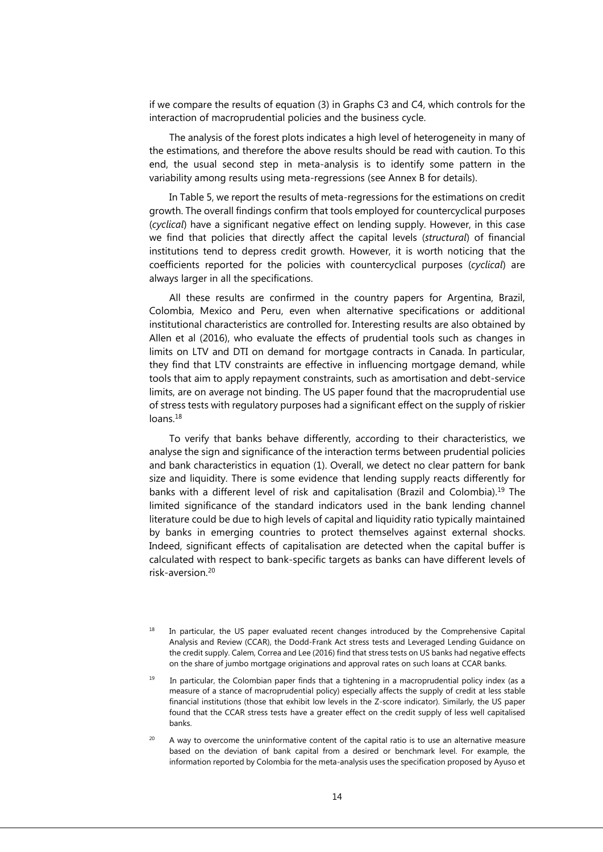if we compare the results of equation (3) in Graphs C3 and C4, which controls for the interaction of macroprudential policies and the business cycle.

The analysis of the forest plots indicates a high level of heterogeneity in many of the estimations, and therefore the above results should be read with caution. To this end, the usual second step in meta-analysis is to identify some pattern in the variability among results using meta-regressions (see Annex B for details).

In Table 5, we report the results of meta-regressions for the estimations on credit growth. The overall findings confirm that tools employed for countercyclical purposes (*cyclical*) have a significant negative effect on lending supply. However, in this case we find that policies that directly affect the capital levels (*structural*) of financial institutions tend to depress credit growth. However, it is worth noticing that the coefficients reported for the policies with countercyclical purposes (*cyclical*) are always larger in all the specifications.

All these results are confirmed in the country papers for Argentina, Brazil, Colombia, Mexico and Peru, even when alternative specifications or additional institutional characteristics are controlled for. Interesting results are also obtained by Allen et al (2016), who evaluate the effects of prudential tools such as changes in limits on LTV and DTI on demand for mortgage contracts in Canada. In particular, they find that LTV constraints are effective in influencing mortgage demand, while tools that aim to apply repayment constraints, such as amortisation and debt-service limits, are on average not binding. The US paper found that the macroprudential use of stress tests with regulatory purposes had a significant effect on the supply of riskier loans. 18

To verify that banks behave differently, according to their characteristics, we analyse the sign and significance of the interaction terms between prudential policies and bank characteristics in equation (1). Overall, we detect no clear pattern for bank size and liquidity. There is some evidence that lending supply reacts differently for banks with a different level of risk and capitalisation (Brazil and Colombia). <sup>19</sup> The limited significance of the standard indicators used in the bank lending channel literature could be due to high levels of capital and liquidity ratio typically maintained by banks in emerging countries to protect themselves against external shocks. Indeed, significant effects of capitalisation are detected when the capital buffer is calculated with respect to bank-specific targets as banks can have different levels of  $risk$ -aversion $20$ 

<sup>18</sup> In particular, the US paper evaluated recent changes introduced by the Comprehensive Capital Analysis and Review (CCAR), the Dodd-Frank Act stress tests and Leveraged Lending Guidance on the credit supply. Calem, Correa and Lee (2016) find that stress tests on US banks had negative effects on the share of jumbo mortgage originations and approval rates on such loans at CCAR banks.

19 In particular, the Colombian paper finds that a tightening in a macroprudential policy index (as a measure of a stance of macroprudential policy) especially affects the supply of credit at less stable financial institutions (those that exhibit low levels in the Z-score indicator). Similarly, the US paper found that the CCAR stress tests have a greater effect on the credit supply of less well capitalised banks.

A way to overcome the uninformative content of the capital ratio is to use an alternative measure based on the deviation of bank capital from a desired or benchmark level. For example, the information reported by Colombia for the meta-analysis uses the specification proposed by Ayuso et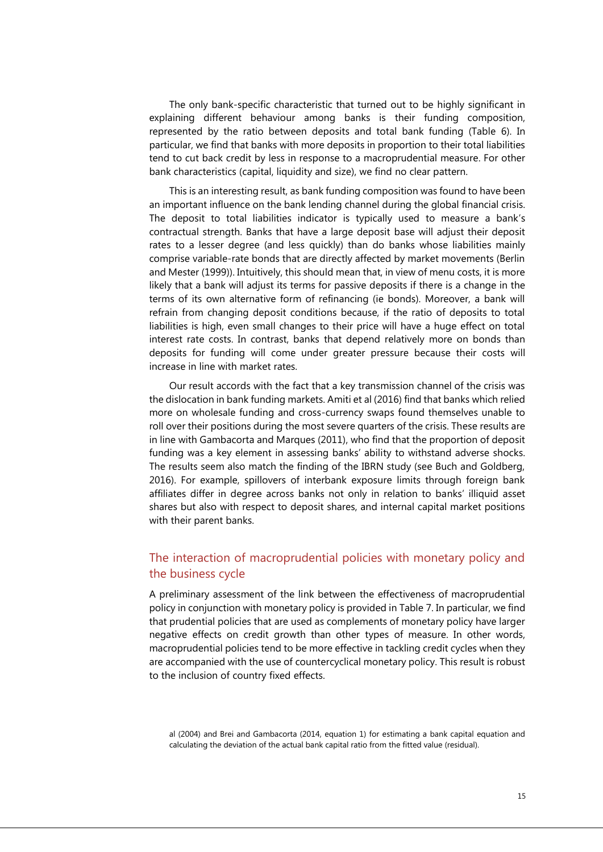The only bank-specific characteristic that turned out to be highly significant in explaining different behaviour among banks is their funding composition, represented by the ratio between deposits and total bank funding (Table 6). In particular, we find that banks with more deposits in proportion to their total liabilities tend to cut back credit by less in response to a macroprudential measure. For other bank characteristics (capital, liquidity and size), we find no clear pattern.

This is an interesting result, as bank funding composition was found to have been an important influence on the bank lending channel during the global financial crisis. The deposit to total liabilities indicator is typically used to measure a bank's contractual strength. Banks that have a large deposit base will adjust their deposit rates to a lesser degree (and less quickly) than do banks whose liabilities mainly comprise variable-rate bonds that are directly affected by market movements (Berlin and Mester (1999)). Intuitively, this should mean that, in view of menu costs, it is more likely that a bank will adjust its terms for passive deposits if there is a change in the terms of its own alternative form of refinancing (ie bonds). Moreover, a bank will refrain from changing deposit conditions because, if the ratio of deposits to total liabilities is high, even small changes to their price will have a huge effect on total interest rate costs. In contrast, banks that depend relatively more on bonds than deposits for funding will come under greater pressure because their costs will increase in line with market rates.

Our result accords with the fact that a key transmission channel of the crisis was the dislocation in bank funding markets. Amiti et al (2016) find that banks which relied more on wholesale funding and cross-currency swaps found themselves unable to roll over their positions during the most severe quarters of the crisis. These results are in line with Gambacorta and Marques (2011), who find that the proportion of deposit funding was a key element in assessing banks' ability to withstand adverse shocks. The results seem also match the finding of the IBRN study (see Buch and Goldberg, 2016). For example, spillovers of interbank exposure limits through foreign bank affiliates differ in degree across banks not only in relation to banks' illiquid asset shares but also with respect to deposit shares, and internal capital market positions with their parent banks.

## The interaction of macroprudential policies with monetary policy and the business cycle

A preliminary assessment of the link between the effectiveness of macroprudential policy in conjunction with monetary policy is provided in Table 7. In particular, we find that prudential policies that are used as complements of monetary policy have larger negative effects on credit growth than other types of measure. In other words, macroprudential policies tend to be more effective in tackling credit cycles when they are accompanied with the use of countercyclical monetary policy. This result is robust to the inclusion of country fixed effects.

al (2004) and Brei and Gambacorta (2014, equation 1) for estimating a bank capital equation and calculating the deviation of the actual bank capital ratio from the fitted value (residual).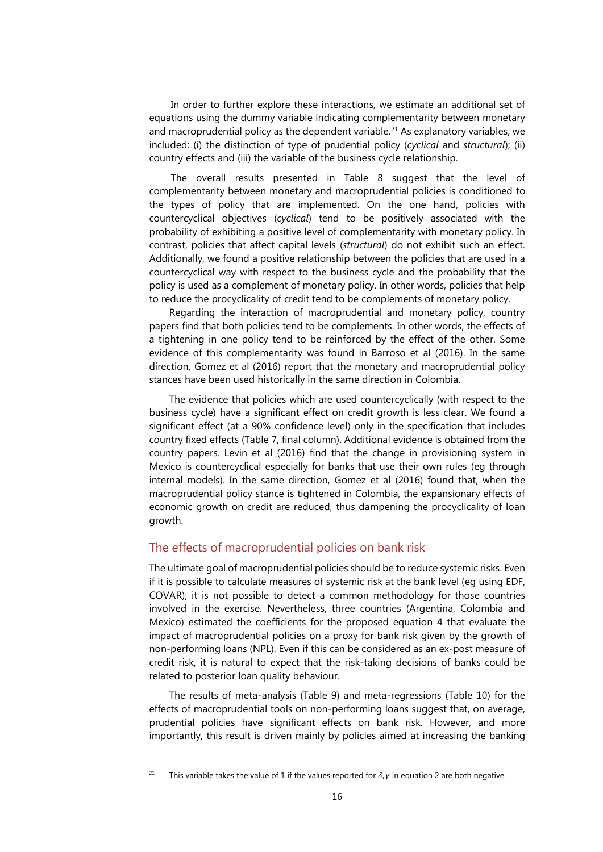In order to further explore these interactions, we estimate an additional set of equations using the dummy variable indicating complementarity between monetary and macroprudential policy as the dependent variable.<sup>21</sup> As explanatory variables, we included: (i) the distinction of type of prudential policy (*cyclical* and *structural*); (ii) country effects and (iii) the variable of the business cycle relationship.

The overall results presented in Table 8 suggest that the level of complementarity between monetary and macroprudential policies is conditioned to the types of policy that are implemented. On the one hand, policies with countercyclical objectives (*cyclical*) tend to be positively associated with the probability of exhibiting a positive level of complementarity with monetary policy. In contrast, policies that affect capital levels (*structural*) do not exhibit such an effect. Additionally, we found a positive relationship between the policies that are used in a countercyclical way with respect to the business cycle and the probability that the policy is used as a complement of monetary policy. In other words, policies that help to reduce the procyclicality of credit tend to be complements of monetary policy.

Regarding the interaction of macroprudential and monetary policy, country papers find that both policies tend to be complements. In other words, the effects of a tightening in one policy tend to be reinforced by the effect of the other. Some evidence of this complementarity was found in Barroso et al (2016). In the same direction, Gomez et al (2016) report that the monetary and macroprudential policy stances have been used historically in the same direction in Colombia.

The evidence that policies which are used countercyclically (with respect to the business cycle) have a significant effect on credit growth is less clear. We found a significant effect (at a 90% confidence level) only in the specification that includes country fixed effects (Table 7, final column). Additional evidence is obtained from the country papers. Levin et al (2016) find that the change in provisioning system in Mexico is countercyclical especially for banks that use their own rules (eg through internal models). In the same direction, Gomez et al (2016) found that, when the macroprudential policy stance is tightened in Colombia, the expansionary effects of economic growth on credit are reduced, thus dampening the procyclicality of loan growth.

#### The effects of macroprudential policies on bank risk

The ultimate goal of macroprudential policies should be to reduce systemic risks. Even if it is possible to calculate measures of systemic risk at the bank level (eg using EDF, COVAR), it is not possible to detect a common methodology for those countries involved in the exercise. Nevertheless, three countries (Argentina, Colombia and Mexico) estimated the coefficients for the proposed equation 4 that evaluate the impact of macroprudential policies on a proxy for bank risk given by the growth of non-performing loans (NPL). Even if this can be considered as an ex-post measure of credit risk, it is natural to expect that the risk-taking decisions of banks could be related to posterior loan quality behaviour.

The results of meta-analysis (Table 9) and meta-regressions (Table 10) for the effects of macroprudential tools on non-performing loans suggest that, on average, prudential policies have significant effects on bank risk. However, and more importantly, this result is driven mainly by policies aimed at increasing the banking

<sup>&</sup>lt;sup>21</sup> This variable takes the value of 1 if the values reported for  $\delta$ ,  $\gamma$  in equation 2 are both negative.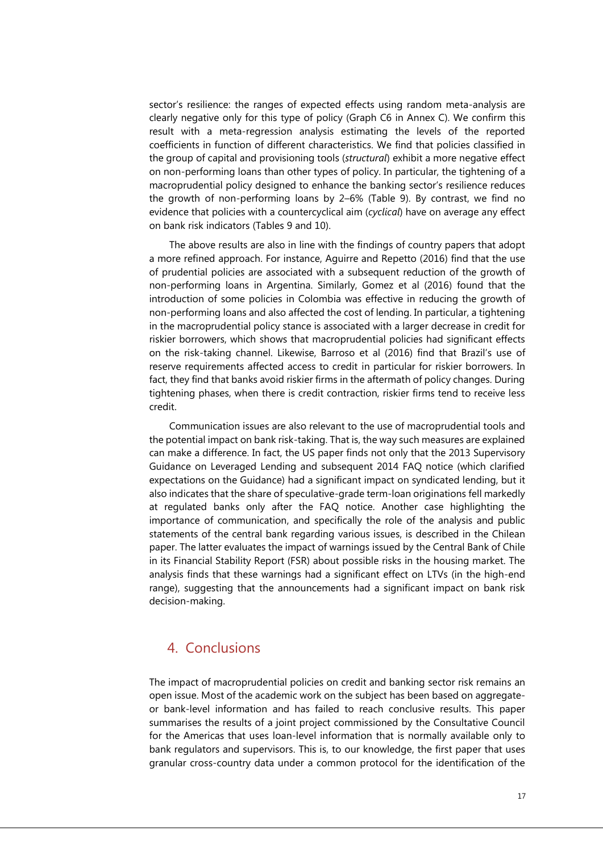sector's resilience: the ranges of expected effects using random meta-analysis are clearly negative only for this type of policy (Graph C6 in Annex C). We confirm this result with a meta-regression analysis estimating the levels of the reported coefficients in function of different characteristics. We find that policies classified in the group of capital and provisioning tools (*structural*) exhibit a more negative effect on non-performing loans than other types of policy. In particular, the tightening of a macroprudential policy designed to enhance the banking sector's resilience reduces the growth of non-performing loans by 2–6% (Table 9). By contrast, we find no evidence that policies with a countercyclical aim (*cyclical*) have on average any effect on bank risk indicators (Tables 9 and 10).

The above results are also in line with the findings of country papers that adopt a more refined approach. For instance, Aguirre and Repetto (2016) find that the use of prudential policies are associated with a subsequent reduction of the growth of non-performing loans in Argentina. Similarly, Gomez et al (2016) found that the introduction of some policies in Colombia was effective in reducing the growth of non-performing loans and also affected the cost of lending. In particular, a tightening in the macroprudential policy stance is associated with a larger decrease in credit for riskier borrowers, which shows that macroprudential policies had significant effects on the risk-taking channel. Likewise, Barroso et al (2016) find that Brazil's use of reserve requirements affected access to credit in particular for riskier borrowers. In fact, they find that banks avoid riskier firms in the aftermath of policy changes. During tightening phases, when there is credit contraction, riskier firms tend to receive less credit.

Communication issues are also relevant to the use of macroprudential tools and the potential impact on bank risk-taking. That is, the way such measures are explained can make a difference. In fact, the US paper finds not only that the 2013 Supervisory Guidance on Leveraged Lending and subsequent 2014 FAQ notice (which clarified expectations on the Guidance) had a significant impact on syndicated lending, but it also indicates that the share of speculative-grade term-loan originations fell markedly at regulated banks only after the FAQ notice. Another case highlighting the importance of communication, and specifically the role of the analysis and public statements of the central bank regarding various issues, is described in the Chilean paper. The latter evaluates the impact of warnings issued by the Central Bank of Chile in its Financial Stability Report (FSR) about possible risks in the housing market. The analysis finds that these warnings had a significant effect on LTVs (in the high-end range), suggesting that the announcements had a significant impact on bank risk decision-making.

## 4. Conclusions

The impact of macroprudential policies on credit and banking sector risk remains an open issue. Most of the academic work on the subject has been based on aggregateor bank-level information and has failed to reach conclusive results. This paper summarises the results of a joint project commissioned by the Consultative Council for the Americas that uses loan-level information that is normally available only to bank regulators and supervisors. This is, to our knowledge, the first paper that uses granular cross-country data under a common protocol for the identification of the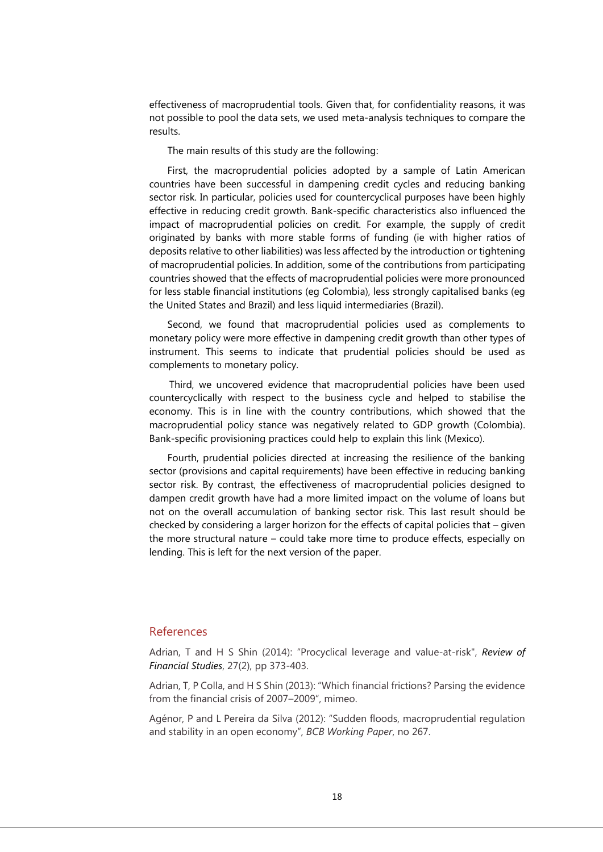effectiveness of macroprudential tools. Given that, for confidentiality reasons, it was not possible to pool the data sets, we used meta-analysis techniques to compare the results.

The main results of this study are the following:

First, the macroprudential policies adopted by a sample of Latin American countries have been successful in dampening credit cycles and reducing banking sector risk. In particular, policies used for countercyclical purposes have been highly effective in reducing credit growth. Bank-specific characteristics also influenced the impact of macroprudential policies on credit. For example, the supply of credit originated by banks with more stable forms of funding (ie with higher ratios of deposits relative to other liabilities) was less affected by the introduction or tightening of macroprudential policies. In addition, some of the contributions from participating countries showed that the effects of macroprudential policies were more pronounced for less stable financial institutions (eg Colombia), less strongly capitalised banks (eg the United States and Brazil) and less liquid intermediaries (Brazil).

Second, we found that macroprudential policies used as complements to monetary policy were more effective in dampening credit growth than other types of instrument. This seems to indicate that prudential policies should be used as complements to monetary policy.

Third, we uncovered evidence that macroprudential policies have been used countercyclically with respect to the business cycle and helped to stabilise the economy. This is in line with the country contributions, which showed that the macroprudential policy stance was negatively related to GDP growth (Colombia). Bank-specific provisioning practices could help to explain this link (Mexico).

Fourth, prudential policies directed at increasing the resilience of the banking sector (provisions and capital requirements) have been effective in reducing banking sector risk. By contrast, the effectiveness of macroprudential policies designed to dampen credit growth have had a more limited impact on the volume of loans but not on the overall accumulation of banking sector risk. This last result should be checked by considering a larger horizon for the effects of capital policies that – given the more structural nature – could take more time to produce effects, especially on lending. This is left for the next version of the paper.

#### References

Adrian, T and H S Shin (2014): "[Procyclical leverage and value-at-risk"](http://rfs.oxfordjournals.org/content/early/2013/10/22/rfs.hht068.full), *Review of Financial Studies*, 27(2), pp 373-403.

Adrian, T, P Colla, and H S Shin (2013): "Which financial frictions? Parsing the evidence from the financial crisis of 2007–2009", mimeo.

Agénor, P and L Pereira da Silva (2012): "Sudden floods, macroprudential regulation and stability in an open economy", *BCB Working Paper*, no 267.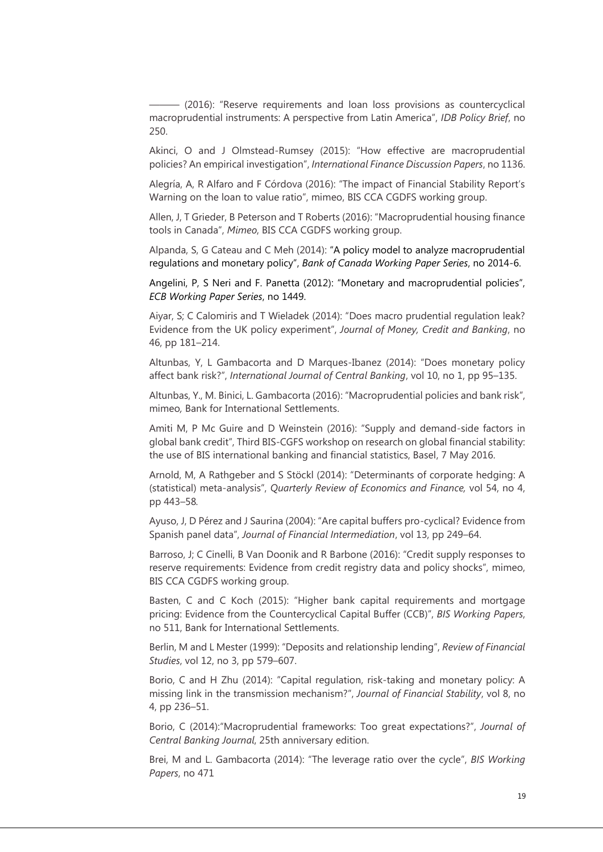——— (2016): "Reserve requirements and loan loss provisions as countercyclical macroprudential instruments: A perspective from Latin America", *IDB Policy Brief*, no 250.

Akinci, O and J Olmstead-Rumsey (2015): "How effective are macroprudential policies? An empirical investigation", *International Finance Discussion Papers*, no 1136.

Alegría, A, R Alfaro and F Córdova (2016): "The impact of Financial Stability Report's Warning on the loan to value ratio", mimeo, BIS CCA CGDFS working group.

Allen, J, T Grieder, B Peterson and T Roberts (2016): "Macroprudential housing finance tools in Canada", *Mimeo*, BIS CCA CGDFS working group.

Alpanda, S, G Cateau and C Meh (2014): "A policy model to analyze macroprudential regulations and monetary policy", *Bank of Canada Working Paper Series*, no 2014-6.

Angelini, P, S Neri and F. Panetta (2012): "Monetary and macroprudential policies", *ECB Working Paper Series*, no 1449.

Aiyar, S; C Calomiris and T Wieladek (2014): "Does macro prudential regulation leak? Evidence from the UK policy experiment", *Journal of Money, Credit and Banking*, no 46, pp 181–214.

Altunbas, Y, L Gambacorta and D Marques-Ibanez (2014): "Does monetary policy affect bank risk?", *International Journal of Central Banking*, vol 10, no 1, pp 95–135.

Altunbas, Y., M. Binici, L. Gambacorta (2016): "Macroprudential policies and bank risk", mimeo*,* Bank for International Settlements.

Amiti M, P Mc Guire and D Weinstein (2016): "Supply and demand-side factors in global bank credit", Third BIS-CGFS workshop on research on global financial stability: the use of BIS international banking and financial statistics, Basel, 7 May 2016.

Arnold, M, A Rathgeber and S Stöckl (2014): "Determinants of corporate hedging: A (statistical) meta-analysis", *Quarterly Review of Economics and Finance,* vol 54, no 4, pp 443–58*.*

Ayuso, J, D Pérez and J Saurina (2004): "Are capital buffers pro-cyclical? Evidence from Spanish panel data", *Journal of Financial Intermediation*, vol 13, pp 249–64.

Barroso, J; C Cinelli, B Van Doonik and R Barbone (2016): "Credit supply responses to reserve requirements: Evidence from credit registry data and policy shocks", mimeo, BIS CCA CGDFS working group.

Basten, C and C Koch (2015): "Higher bank capital requirements and mortgage pricing: Evidence from the Countercyclical Capital Buffer (CCB)", *BIS Working Papers*, no 511, Bank for International Settlements.

Berlin, M and L Mester (1999): "Deposits and relationship lending", *Review of Financial Studies*, vol 12, no 3, pp 579–607.

Borio, C and H Zhu (2014): "Capital regulation, risk-taking and monetary policy: A missing link in the transmission mechanism?", *Journal of Financial Stability*, vol 8, no 4, pp 236–51.

Borio, C (2014):"Macroprudential frameworks: Too great expectations?", *Journal of Central Banking Journal*, 25th anniversary edition.

Brei, M and L. Gambacorta (2014): "The leverage ratio over the cycle", *BIS Working Papers*, no 471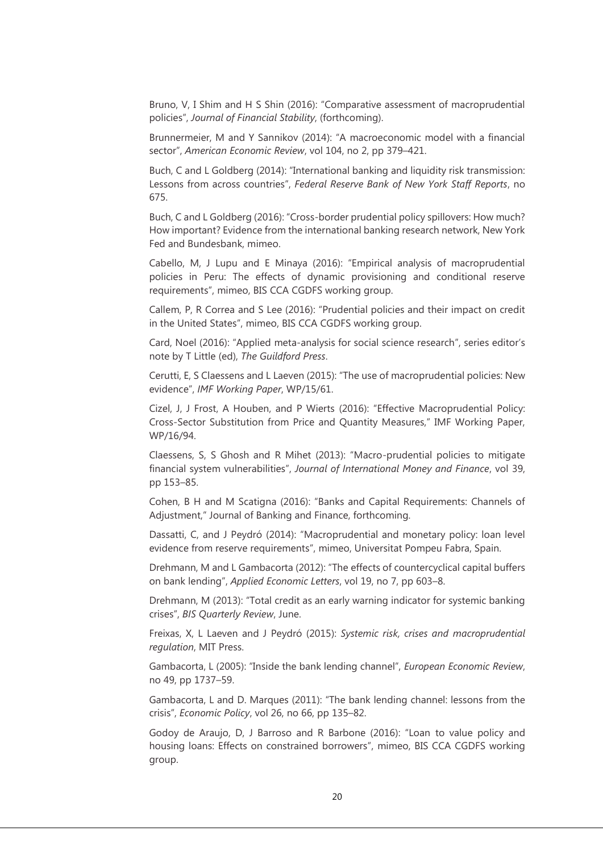Bruno, V, I Shim and H S Shin (2016): "Comparative assessment of macroprudential policies", *Journal of Financial Stability*, (forthcoming).

Brunnermeier, M and Y Sannikov (2014): "A macroeconomic model with a financial sector", *American Economic Review*, vol 104, no 2, pp 379–421.

Buch, C and L Goldberg (2014): "International banking and liquidity risk transmission: Lessons from across countries", *Federal Reserve Bank of New York Staff Reports*, no 675.

Buch, C and L Goldberg (2016): "Cross-border prudential policy spillovers: How much? How important? Evidence from the international banking research network, New York Fed and Bundesbank, mimeo.

Cabello, M, J Lupu and E Minaya (2016): "Empirical analysis of macroprudential policies in Peru: The effects of dynamic provisioning and conditional reserve requirements", mimeo, BIS CCA CGDFS working group.

Callem, P, R Correa and S Lee (2016): "Prudential policies and their impact on credit in the United States", mimeo, BIS CCA CGDFS working group.

Card, Noel (2016): "Applied meta-analysis for social science research", series editor's note by T Little (ed), *The Guildford Press*.

Cerutti, E, S Claessens and L Laeven (2015): "The use of macroprudential policies: New evidence", *IMF Working Paper*, WP/15/61.

Cizel, J, J Frost, A Houben, and P Wierts (2016): "Effective Macroprudential Policy: Cross-Sector Substitution from Price and Quantity Measures," IMF Working Paper, WP/16/94.

Claessens, S, S Ghosh and R Mihet (2013): "Macro-prudential policies to mitigate financial system vulnerabilities", *Journal of International Money and Finance*, vol 39, pp 153–85.

Cohen, B H and M Scatigna (2016): "Banks and Capital Requirements: Channels of Adjustment," Journal of Banking and Finance, forthcoming.

Dassatti, C, and J Peydró (2014): "Macroprudential and monetary policy: loan level evidence from reserve requirements", mimeo, Universitat Pompeu Fabra, Spain.

Drehmann, M and L Gambacorta (2012): "The effects of countercyclical capital buffers on bank lending", *Applied Economic Letters*, [vol 19,](http://www.tandfonline.com/loi/rael20?open=19#vol_19) [no](http://www.tandfonline.com/toc/rael20/19/7) 7, pp 603–8.

Drehmann, M (2013): "Total credit as an early warning indicator for systemic banking crises", *BIS Quarterly Review*, June.

Freixas, X, L Laeven and J Peydró (2015): *Systemic risk, crises and macroprudential regulation*, MIT Press.

Gambacorta, L (2005): "Inside the bank lending channel", *European Economic Review*, no 49, pp 1737–59.

Gambacorta, L and D. Marques (2011): "The bank lending channel: lessons from the crisis", *Economic Policy*, vol 26, no 66, pp 135–82.

Godoy de Araujo, D, J Barroso and R Barbone (2016): "Loan to value policy and housing loans: Effects on constrained borrowers", mimeo, BIS CCA CGDFS working group.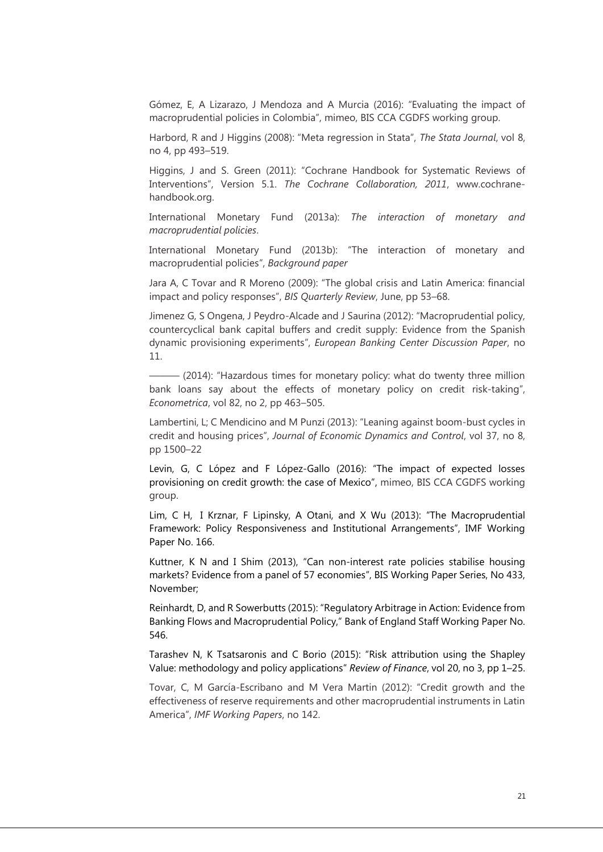Gómez, E, A Lizarazo, J Mendoza and A Murcia (2016): "Evaluating the impact of macroprudential policies in Colombia", mimeo, BIS CCA CGDFS working group.

Harbord, R and J Higgins (2008): "Meta regression in Stata", *The Stata Journal*, vol 8, no 4, pp 493–519.

Higgins, J and S. Green (2011): "Cochrane Handbook for Systematic Reviews of Interventions", Version 5.1. *The Cochrane Collaboration, 2011*, www.cochranehandbook.org.

International Monetary Fund (2013a): *The interaction of monetary and macroprudential policies*.

International Monetary Fund (2013b): "The interaction of monetary and macroprudential policies", *Background paper*

Jara A, C Tovar and R Moreno (2009): "The global crisis and Latin America: financial impact and policy responses", *BIS Quarterly Review*, June, pp 53–68.

Jimenez G, S Ongena, J Peydro-Alcade and J Saurina (2012): "Macroprudential policy, countercyclical bank capital buffers and credit supply: Evidence from the Spanish dynamic provisioning experiments", *[European Banking Center Discussion Paper](http://papers.ssrn.com/sol3/papers.cfm?abstract_id=2049284##)*, no [11.](http://papers.ssrn.com/sol3/papers.cfm?abstract_id=2049284##)

- (2014): "Hazardous times for monetary policy: what do twenty three million bank loans say about the effects of monetary policy on credit risk-taking", *Econometrica*, vol 82, no 2, pp 463–505.

Lambertini, L; C Mendicino and M Punzi (2013): "Leaning against boom-bust cycles in credit and housing prices", *Journal of Economic Dynamics and Control*, vol 37, no 8, pp 1500–22

Levin, G, C López and F López-Gallo (2016): "The impact of expected losses provisioning on credit growth: the case of Mexico", mimeo, BIS CCA CGDFS working group.

Lim, C H, I Krznar, F Lipinsky, A Otani, and X Wu (2013): "The Macroprudential Framework: Policy Responsiveness and Institutional Arrangements", IMF Working Paper No. 166.

Kuttner, K N and I Shim (2013), "Can non-interest rate policies stabilise housing markets? Evidence from a panel of 57 economies", BIS Working Paper Series, No 433, November;

Reinhardt, D, and R Sowerbutts (2015): "Regulatory Arbitrage in Action: Evidence from Banking Flows and Macroprudential Policy," Bank of England Staff Working Paper No. 546.

Tarashev N, K Tsatsaronis and C Borio (2015): "Risk attribution using the Shapley Value: methodology and policy applications" *Review of Finance*, vol 20, no 3, pp 1–25.

Tovar, C, M García-Escribano and M Vera Martin (2012): "Credit growth and the effectiveness of reserve requirements and other macroprudential instruments in Latin America", *IMF Working Papers*, no 142.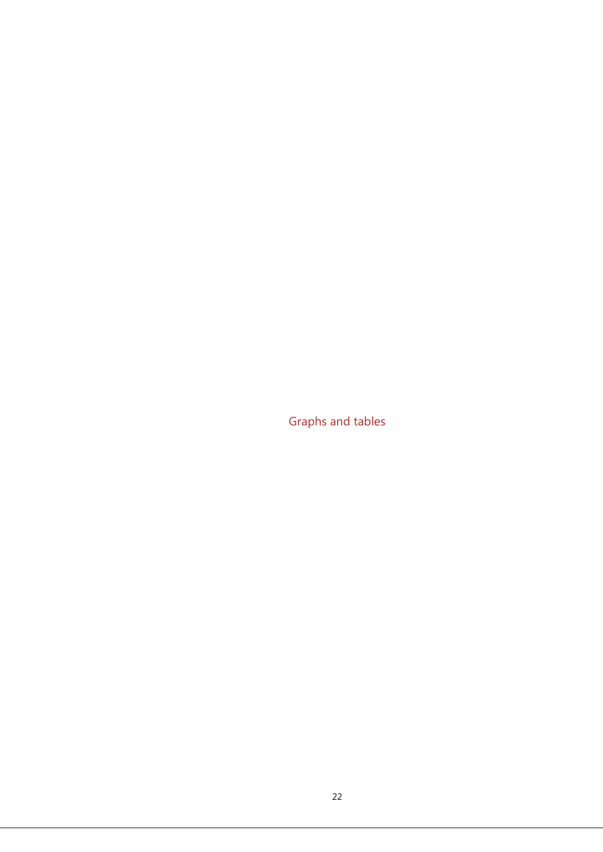Graphs and tables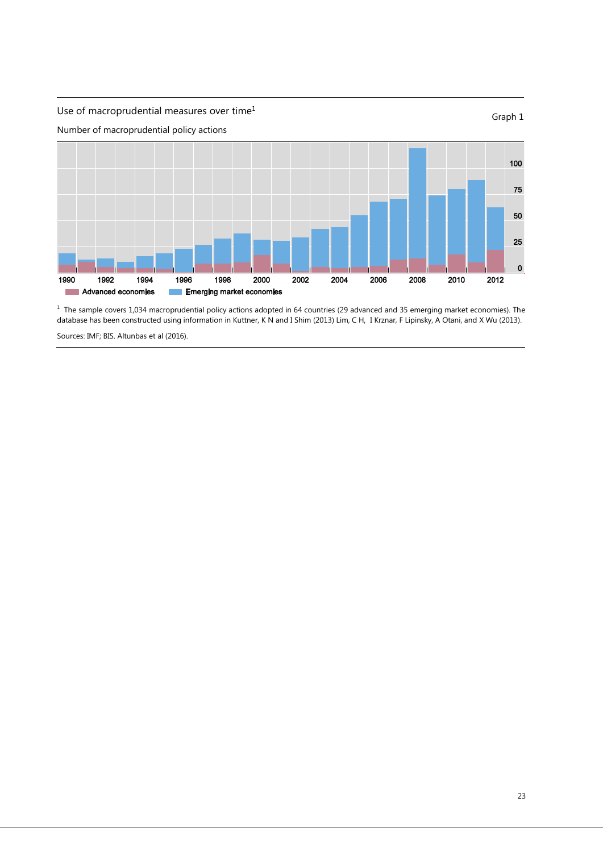

<sup>1</sup> The sample covers 1,034 macroprudential policy actions adopted in 64 countries (29 advanced and 35 emerging market economies). The database has been constructed using information in Kuttner, K N and I Shim (2013) Lim, C H, I Krznar, F Lipinsky, A Otani, and X Wu (2013).

Sources: IMF; BIS. Altunbas et al (2016).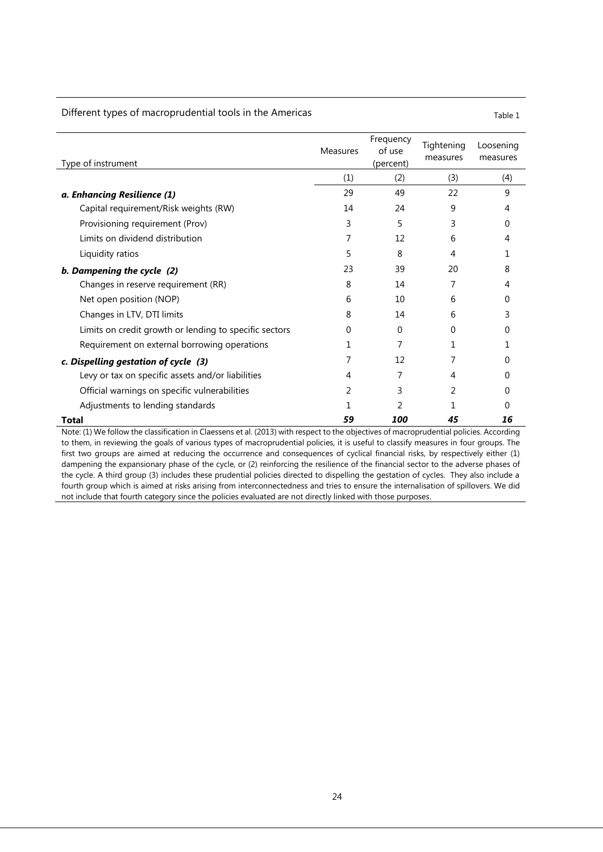#### Different types of macroprudential tools in the Americas Table 1 and 1 and 1 and 1 and 1 and 1 and 1 and 1 and 1

| Type of instrument                                     | <b>Measures</b> | Frequency<br>of use<br>(percent) | Tightening<br>measures | Loosening<br>measures |
|--------------------------------------------------------|-----------------|----------------------------------|------------------------|-----------------------|
|                                                        | (1)             | (2)                              | (3)                    | (4)                   |
| a. Enhancing Resilience (1)                            | 29              | 49                               | 22                     | 9                     |
| Capital requirement/Risk weights (RW)                  | 14              | 24                               | 9                      | 4                     |
| Provisioning requirement (Prov)                        | 3               | 5                                | 3                      | Ω                     |
| Limits on dividend distribution                        | 7               | 12                               | 6                      | 4                     |
| Liquidity ratios                                       | 5               | 8                                | 4                      |                       |
| b. Dampening the cycle (2)                             | 23              | 39                               | 20                     | 8                     |
| Changes in reserve requirement (RR)                    | 8               | 14                               |                        | 4                     |
| Net open position (NOP)                                | 6               | $10 \,$                          | 6                      | O                     |
| Changes in LTV, DTI limits                             | 8               | 14                               | 6                      | 3                     |
| Limits on credit growth or lending to specific sectors | 0               | 0                                | 0                      | 0                     |
| Requirement on external borrowing operations           | 1               | 7                                | 1                      |                       |
| c. Dispelling gestation of cycle (3)                   |                 | 12                               |                        | 0                     |
| Levy or tax on specific assets and/or liabilities      | 4               | 7                                | 4                      |                       |
| Official warnings on specific vulnerabilities          | 2               | 3                                | 2                      |                       |
| Adjustments to lending standards                       |                 |                                  |                        |                       |
| Total                                                  | 59              | 100                              | 45                     | 16                    |

Note: (1) We follow the classification in Claessens et al. (2013) with respect to the objectives of macroprudential policies. According to them, in reviewing the goals of various types of macroprudential policies, it is useful to classify measures in four groups. The first two groups are aimed at reducing the occurrence and consequences of cyclical financial risks, by respectively either (1) dampening the expansionary phase of the cycle, or (2) reinforcing the resilience of the financial sector to the adverse phases of the cycle. A third group (3) includes these prudential policies directed to dispelling the gestation of cycles. They also include a fourth group which is aimed at risks arising from interconnectedness and tries to ensure the internalisation of spillovers. We did not include that fourth category since the policies evaluated are not directly linked with those purposes.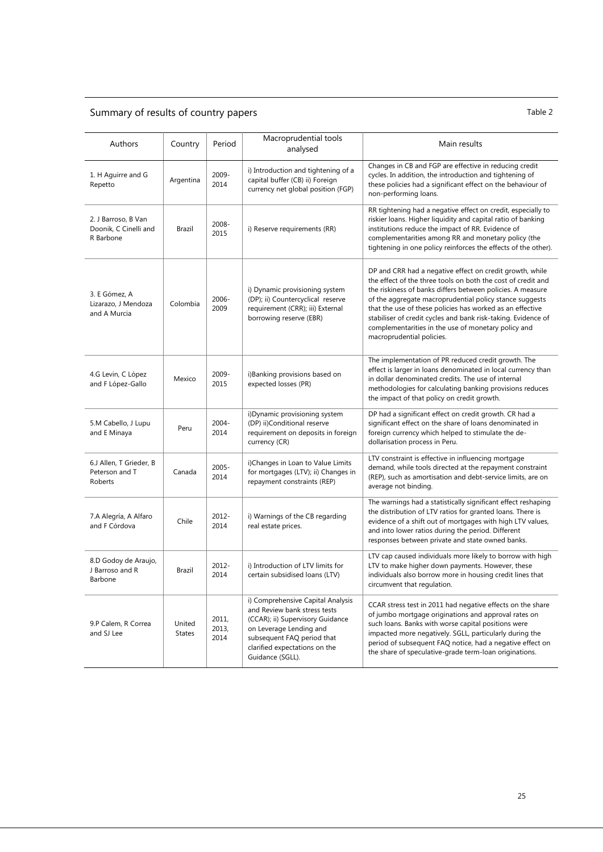## Summary of results of country papers Table 2

| Authors                                                   | Country                 | Period                 | Macroprudential tools<br>analysed                                                                                                                                                                                   | Main results                                                                                                                                                                                                                                                                                                                                                                                                                                                        |
|-----------------------------------------------------------|-------------------------|------------------------|---------------------------------------------------------------------------------------------------------------------------------------------------------------------------------------------------------------------|---------------------------------------------------------------------------------------------------------------------------------------------------------------------------------------------------------------------------------------------------------------------------------------------------------------------------------------------------------------------------------------------------------------------------------------------------------------------|
| 1. H Aguirre and G<br>Repetto                             | Argentina               | 2009-<br>2014          | i) Introduction and tightening of a<br>capital buffer (CB) ii) Foreign<br>currency net global position (FGP)                                                                                                        | Changes in CB and FGP are effective in reducing credit<br>cycles. In addition, the introduction and tightening of<br>these policies had a significant effect on the behaviour of<br>non-performing loans.                                                                                                                                                                                                                                                           |
| 2. J Barroso, B Van<br>Doonik, C Cinelli and<br>R Barbone | Brazil                  | 2008-<br>2015          | i) Reserve requirements (RR)                                                                                                                                                                                        | RR tightening had a negative effect on credit, especially to<br>riskier loans. Higher liquidity and capital ratio of banking<br>institutions reduce the impact of RR. Evidence of<br>complementarities among RR and monetary policy (the<br>tightening in one policy reinforces the effects of the other).                                                                                                                                                          |
| 3. E Gómez, A<br>Lizarazo, J Mendoza<br>and A Murcia      | Colombia                | 2006-<br>2009          | i) Dynamic provisioning system<br>(DP); ii) Countercyclical reserve<br>requirement (CRR); iii) External<br>borrowing reserve (EBR)                                                                                  | DP and CRR had a negative effect on credit growth, while<br>the effect of the three tools on both the cost of credit and<br>the riskiness of banks differs between policies. A measure<br>of the aggregate macroprudential policy stance suggests<br>that the use of these policies has worked as an effective<br>stabiliser of credit cycles and bank risk-taking. Evidence of<br>complementarities in the use of monetary policy and<br>macroprudential policies. |
| 4.G Levin, C López<br>and F López-Gallo                   | Mexico                  | 2009-<br>2015          | i)Banking provisions based on<br>expected losses (PR)                                                                                                                                                               | The implementation of PR reduced credit growth. The<br>effect is larger in loans denominated in local currency than<br>in dollar denominated credits. The use of internal<br>methodologies for calculating banking provisions reduces<br>the impact of that policy on credit growth.                                                                                                                                                                                |
| 5.M Cabello, J Lupu<br>and E Minaya                       | Peru                    | $2004 -$<br>2014       | i) Dynamic provisioning system<br>(DP) ii)Conditional reserve<br>requirement on deposits in foreign<br>currency (CR)                                                                                                | DP had a significant effect on credit growth. CR had a<br>significant effect on the share of loans denominated in<br>foreign currency which helped to stimulate the de-<br>dollarisation process in Peru.                                                                                                                                                                                                                                                           |
| 6.J Allen, T Grieder, B<br>Peterson and T<br>Roberts      | Canada                  | 2005-<br>2014          | i)Changes in Loan to Value Limits<br>for mortgages (LTV); ii) Changes in<br>repayment constraints (REP)                                                                                                             | LTV constraint is effective in influencing mortgage<br>demand, while tools directed at the repayment constraint<br>(REP), such as amortisation and debt-service limits, are on<br>average not binding.                                                                                                                                                                                                                                                              |
| 7.A Alegría, A Alfaro<br>and F Córdova                    | Chile                   | 2012-<br>2014          | i) Warnings of the CB regarding<br>real estate prices.                                                                                                                                                              | The warnings had a statistically significant effect reshaping<br>the distribution of LTV ratios for granted loans. There is<br>evidence of a shift out of mortgages with high LTV values,<br>and into lower ratios during the period. Different<br>responses between private and state owned banks.                                                                                                                                                                 |
| 8.D Godoy de Araujo,<br>J Barroso and R<br>Barbone        | Brazil                  | 2012-<br>2014          | i) Introduction of LTV limits for<br>certain subsidised loans (LTV)                                                                                                                                                 | LTV cap caused individuals more likely to borrow with high<br>LTV to make higher down payments. However, these<br>individuals also borrow more in housing credit lines that<br>circumvent that regulation.                                                                                                                                                                                                                                                          |
| 9.P Calem, R Correa<br>and SJ Lee                         | United<br><b>States</b> | 2011,<br>2013,<br>2014 | i) Comprehensive Capital Analysis<br>and Review bank stress tests<br>(CCAR); ii) Supervisory Guidance<br>on Leverage Lending and<br>subsequent FAQ period that<br>clarified expectations on the<br>Guidance (SGLL). | CCAR stress test in 2011 had negative effects on the share<br>of jumbo mortgage originations and approval rates on<br>such loans. Banks with worse capital positions were<br>impacted more negatively. SGLL, particularly during the<br>period of subsequent FAQ notice, had a negative effect on<br>the share of speculative-grade term-loan originations.                                                                                                         |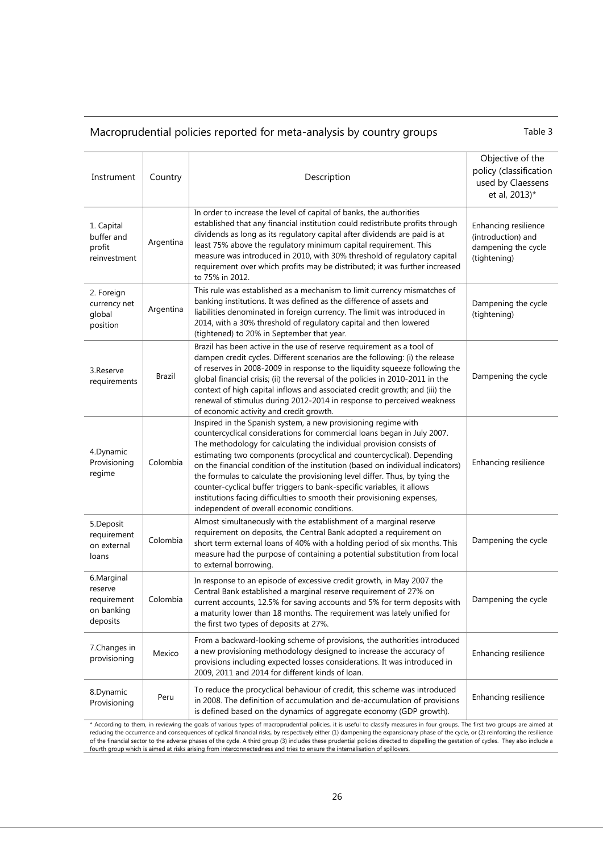## Macroprudential policies reported for meta-analysis by country groups Table 3

| Instrument                                                     | Country   | Description                                                                                                                                                                                                                                                                                                                                                                                                                                                                                                                                                                                                                                                      | Objective of the<br>policy (classification<br>used by Claessens<br>et al, 2013)*  |
|----------------------------------------------------------------|-----------|------------------------------------------------------------------------------------------------------------------------------------------------------------------------------------------------------------------------------------------------------------------------------------------------------------------------------------------------------------------------------------------------------------------------------------------------------------------------------------------------------------------------------------------------------------------------------------------------------------------------------------------------------------------|-----------------------------------------------------------------------------------|
| 1. Capital<br>buffer and<br>profit<br>reinvestment             | Argentina | In order to increase the level of capital of banks, the authorities<br>established that any financial institution could redistribute profits through<br>dividends as long as its regulatory capital after dividends are paid is at<br>least 75% above the regulatory minimum capital requirement. This<br>measure was introduced in 2010, with 30% threshold of regulatory capital<br>requirement over which profits may be distributed; it was further increased<br>to 75% in 2012.                                                                                                                                                                             | Enhancing resilience<br>(introduction) and<br>dampening the cycle<br>(tightening) |
| 2. Foreign<br>currency net<br>global<br>position               | Argentina | This rule was established as a mechanism to limit currency mismatches of<br>banking institutions. It was defined as the difference of assets and<br>liabilities denominated in foreign currency. The limit was introduced in<br>2014, with a 30% threshold of regulatory capital and then lowered<br>(tightened) to 20% in September that year.                                                                                                                                                                                                                                                                                                                  | Dampening the cycle<br>(tightening)                                               |
| 3.Reserve<br>requirements                                      | Brazil    | Brazil has been active in the use of reserve requirement as a tool of<br>dampen credit cycles. Different scenarios are the following: (i) the release<br>of reserves in 2008-2009 in response to the liquidity squeeze following the<br>global financial crisis; (ii) the reversal of the policies in 2010-2011 in the<br>context of high capital inflows and associated credit growth; and (iii) the<br>renewal of stimulus during 2012-2014 in response to perceived weakness<br>of economic activity and credit growth.                                                                                                                                       | Dampening the cycle                                                               |
| 4.Dynamic<br>Provisioning<br>regime                            | Colombia  | Inspired in the Spanish system, a new provisioning regime with<br>countercyclical considerations for commercial loans began in July 2007.<br>The methodology for calculating the individual provision consists of<br>estimating two components (procyclical and countercyclical). Depending<br>on the financial condition of the institution (based on individual indicators)<br>the formulas to calculate the provisioning level differ. Thus, by tying the<br>counter-cyclical buffer triggers to bank-specific variables, it allows<br>institutions facing difficulties to smooth their provisioning expenses,<br>independent of overall economic conditions. | Enhancing resilience                                                              |
| 5.Deposit<br>requirement<br>on external<br>loans               | Colombia  | Almost simultaneously with the establishment of a marginal reserve<br>requirement on deposits, the Central Bank adopted a requirement on<br>short term external loans of 40% with a holding period of six months. This<br>measure had the purpose of containing a potential substitution from local<br>to external borrowing.                                                                                                                                                                                                                                                                                                                                    | Dampening the cycle                                                               |
| 6.Marginal<br>reserve<br>requirement<br>on banking<br>deposits | Colombia  | In response to an episode of excessive credit growth, in May 2007 the<br>Central Bank established a marginal reserve requirement of 27% on<br>current accounts, 12.5% for saving accounts and 5% for term deposits with<br>a maturity lower than 18 months. The requirement was lately unified for<br>the first two types of deposits at 27%.                                                                                                                                                                                                                                                                                                                    | Dampening the cycle                                                               |
| 7.Changes in<br>provisioning                                   | Mexico    | From a backward-looking scheme of provisions, the authorities introduced<br>a new provisioning methodology designed to increase the accuracy of<br>provisions including expected losses considerations. It was introduced in<br>2009, 2011 and 2014 for different kinds of loan.                                                                                                                                                                                                                                                                                                                                                                                 | Enhancing resilience                                                              |
| 8.Dynamic<br>Provisioning                                      | Peru      | To reduce the procyclical behaviour of credit, this scheme was introduced<br>in 2008. The definition of accumulation and de-accumulation of provisions<br>is defined based on the dynamics of aggregate economy (GDP growth).                                                                                                                                                                                                                                                                                                                                                                                                                                    | Enhancing resilience                                                              |

\* According to them, in reviewing the goals of various types of macroprudential policies, it is useful to classify measures in four groups. The first two groups are aimed at reducing the occurrence and consequences of cyclical financial risks, by respectively either (1) dampening the expansionary phase of the cycle, or (2) reinforcing the resilience<br>of the financial sector to the adverse phase fourth group which is aimed at risks arising from interconnectedness and tries to ensure the internalisation of spillover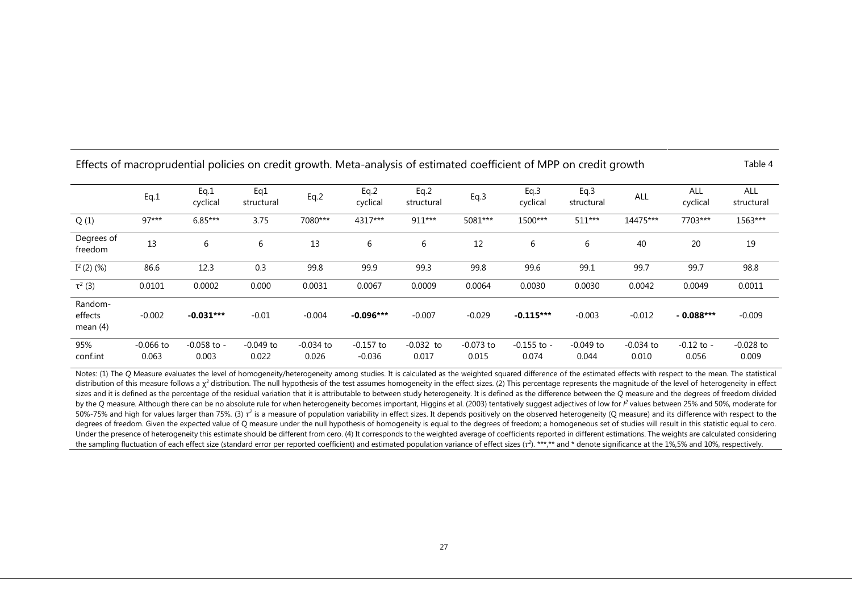|                                  | Eq.1                 | Eq.1<br>cyclical         | Eq1<br>structural    | Eq.2                 | Eq.2<br>cyclical        | Eq.2<br>structural   | Eq.3                 | Eq.3<br>cyclical         | Eq.3<br>structural   | ALL                  | ALL<br>cyclical         | ALL<br>structural    |
|----------------------------------|----------------------|--------------------------|----------------------|----------------------|-------------------------|----------------------|----------------------|--------------------------|----------------------|----------------------|-------------------------|----------------------|
| Q(1)                             | $97***$              | $6.85***$                | 3.75                 | 7080***              | 4317***                 | 911***               | 5081***              | 1500***                  | 511***               | 14475***             | 7703***                 | 1563***              |
| Degrees of<br>freedom            | 13                   | 6                        | 6                    | 13                   | 6                       | 6                    | 12                   | 6                        | 6                    | 40                   | 20                      | 19                   |
| $I^2$ (2) (%)                    | 86.6                 | 12.3                     | 0.3                  | 99.8                 | 99.9                    | 99.3                 | 99.8                 | 99.6                     | 99.1                 | 99.7                 | 99.7                    | 98.8                 |
| $\tau^2$ (3)                     | 0.0101               | 0.0002                   | 0.000                | 0.0031               | 0.0067                  | 0.0009               | 0.0064               | 0.0030                   | 0.0030               | 0.0042               | 0.0049                  | 0.0011               |
| Random-<br>effects<br>mean $(4)$ | $-0.002$             | $-0.031***$              | $-0.01$              | $-0.004$             | $-0.096***$             | $-0.007$             | $-0.029$             | $-0.115***$              | $-0.003$             | $-0.012$             | $-0.088***$             | $-0.009$             |
| 95%<br>conf.int                  | $-0.066$ to<br>0.063 | $-0.058$ to $-$<br>0.003 | $-0.049$ to<br>0.022 | $-0.034$ to<br>0.026 | $-0.157$ to<br>$-0.036$ | $-0.032$ to<br>0.017 | $-0.073$ to<br>0.015 | $-0.155$ to $-$<br>0.074 | $-0.049$ to<br>0.044 | $-0.034$ to<br>0.010 | $-0.12$ to $-$<br>0.056 | $-0.028$ to<br>0.009 |

Effects of macroprudential policies on credit growth. Meta-analysis of estimated coefficient of MPP on credit growth Table 4

Notes: (1) The Q Measure evaluates the level of homogeneity/heterogeneity among studies. It is calculated as the weighted squared difference of the estimated effects with respect to the mean. The statistical distribution of this measure follows a  $\chi^2$  distribution. The null hypothesis of the test assumes homogeneity in the effect sizes. (2) This percentage represents the magnitude of the level of heterogeneity in effect sizes and it is defined as the percentage of the residual variation that it is attributable to between study heterogeneity. It is defined as the difference between the *Q* measure and the degrees of freedom divided by the Q measure. Although there can be no absolute rule for when heterogeneity becomes important, Higgins et al. (2003) tentatively suggest adjectives of low for  $l^2$  values between 25% and 50%, moderate for 50%-75% and high for values larger than 75%. (3)  $\tau^2$  is a measure of population variability in effect sizes. It depends positively on the observed heterogeneity (Q measure) and its difference with respect to the degrees of freedom. Given the expected value of Q measure under the null hypothesis of homogeneity is equal to the degrees of freedom; a homogeneous set of studies will result in this statistic equal to cero. Under the presence of heterogeneity this estimate should be different from cero. (4) It corresponds to the weighted average of coefficients reported in different estimations. The weights are calculated considering the sampling fluctuation of each effect size (standard error per reported coefficient) and estimated population variance of effect sizes ( $\tau^2$ ). \*\*\*,\*\* and \* denote significance at the 1%,5% and 10%, respectively.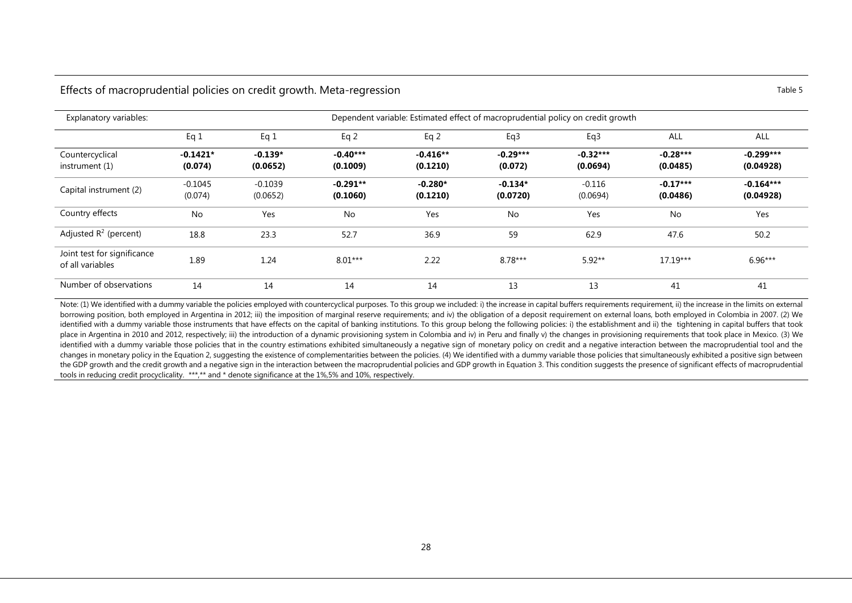#### Effects of macroprudential policies on credit growth. Meta-regression Table 5 and Table 5

| Explanatory variables:                          | Dependent variable: Estimated effect of macroprudential policy on credit growth |                       |                        |                        |                       |                        |                        |                          |  |  |
|-------------------------------------------------|---------------------------------------------------------------------------------|-----------------------|------------------------|------------------------|-----------------------|------------------------|------------------------|--------------------------|--|--|
|                                                 | Eq 1                                                                            | Eq 1                  | Eq $2$                 | Eq $2$                 | Eq3                   | Eq3                    | ALL                    | ALL                      |  |  |
| Countercyclical<br>instrument (1)               | $-0.1421*$<br>(0.074)                                                           | $-0.139*$<br>(0.0652) | $-0.40***$<br>(0.1009) | $-0.416**$<br>(0.1210) | $-0.29***$<br>(0.072) | $-0.32***$<br>(0.0694) | $-0.28***$<br>(0.0485) | $-0.299***$<br>(0.04928) |  |  |
| Capital instrument (2)                          | $-0.1045$<br>(0.074)                                                            | $-0.1039$<br>(0.0652) | $-0.291**$<br>(0.1060) | $-0.280*$<br>(0.1210)  | $-0.134*$<br>(0.0720) | $-0.116$<br>(0.0694)   | $-0.17***$<br>(0.0486) | $-0.164***$<br>(0.04928) |  |  |
| Country effects                                 | <b>No</b>                                                                       | Yes                   | <b>No</b>              | Yes                    | No                    | Yes                    | No                     | Yes                      |  |  |
| Adjusted $R^2$ (percent)                        | 18.8                                                                            | 23.3                  | 52.7                   | 36.9                   | 59                    | 62.9                   | 47.6                   | 50.2                     |  |  |
| Joint test for significance<br>of all variables | 1.89                                                                            | 1.24                  | $8.01***$              | 2.22                   | $8.78***$             | $5.92**$               | $17.19***$             | $6.96***$                |  |  |
| Number of observations                          | 14                                                                              | 14                    | 14                     | 14                     | 13                    | 13                     | 41                     | 41                       |  |  |

Note: (1) We identified with a dummy variable the policies employed with countercyclical purposes. To this group we included: i) the increase in capital buffers requirements requirement, ii) the increase in the limits on e borrowing position, both employed in Argentina in 2012; iii) the imposition of marginal reserve requirements; and iv) the obligation of a deposit requirement on external loans, both employed in Colombia in 2007. (2) We identified with a dummy variable those instruments that have effects on the capital of banking institutions. To this group belong the following policies: i) the establishment and ii) the tightening in capital buffers that place in Argentina in 2010 and 2012, respectively; iii) the introduction of a dynamic provisioning system in Colombia and iv) in Peru and finally v) the changes in provisioning requirements that took place in Mexico. (3) W identified with a dummy variable those policies that in the country estimations exhibited simultaneously a negative sign of monetary policy on credit and a negative interaction between the macroprudential tool and the changes in monetary policy in the Equation 2, suggesting the existence of complementarities between the policies. (4) We identified with a dummy variable those policies that simultaneously exhibited a positive sign between the GDP growth and the credit growth and a negative sign in the interaction between the macroprudential policies and GDP growth in Equation 3. This condition suggests the presence of significant effects of macroprudential tools in reducing credit procyclicality. \*\*\*,\*\* and \* denote significance at the 1%,5% and 10%, respectively.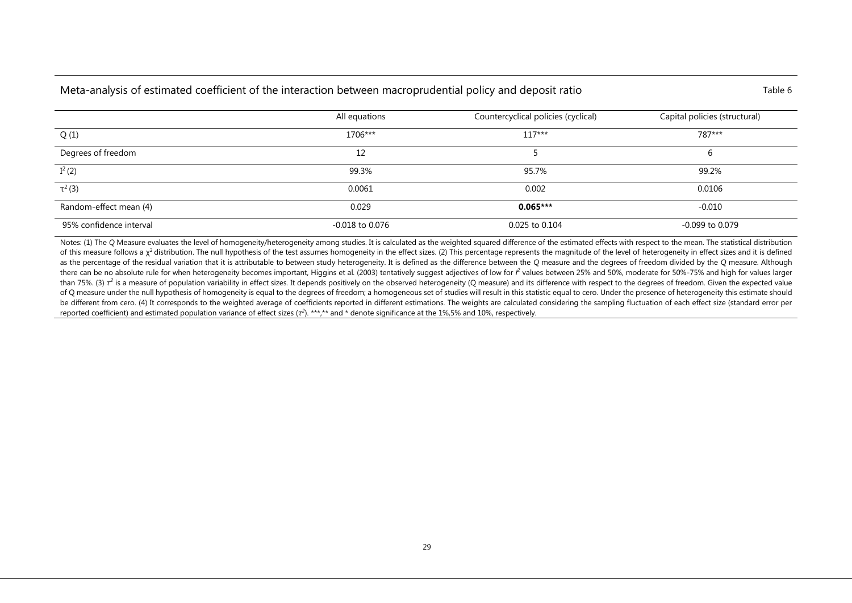## Meta-analysis of estimated coefficient of the interaction between macroprudential policy and deposit ratio Table 6

|                         | All equations       | Countercyclical policies (cyclical) | Capital policies (structural) |
|-------------------------|---------------------|-------------------------------------|-------------------------------|
| Q(1)                    | 1706***             | $117***$                            | 787***                        |
| Degrees of freedom      | 12                  |                                     | b                             |
| $I^2(2)$                | 99.3%               | 95.7%                               | 99.2%                         |
| $\tau^2$ (3)            | 0.0061              | 0.002                               | 0.0106                        |
| Random-effect mean (4)  | 0.029               | $0.065***$                          | $-0.010$                      |
| 95% confidence interval | $-0.018$ to $0.076$ | 0.025 to 0.104                      | $-0.099$ to $0.079$           |

Notes: (1) The Q Measure evaluates the level of homogeneity/heterogeneity among studies. It is calculated as the weighted squared difference of the estimated effects with respect to the mean. The statistical distribution of this measure follows a  $\chi^2$  distribution. The null hypothesis of the test assumes homogeneity in the effect sizes. (2) This percentage represents the magnitude of the level of heterogeneity in effect sizes and it is as the percentage of the residual variation that it is attributable to between study heterogeneity. It is defined as the difference between the Q measure and the degrees of freedom divided by the Q measure. Although there can be no absolute rule for when heterogeneity becomes important, Higgins et al. (2003) tentatively suggest adjectives of low for  $l^2$  values between 25% and 50%, moderate for 50%-75% and high for values larger than 75%. (3)  $\tau^2$  is a measure of population variability in effect sizes. It depends positively on the observed heterogeneity (Q measure) and its difference with respect to the degrees of freedom. Given the expected va of Q measure under the null hypothesis of homogeneity is equal to the degrees of freedom; a homogeneous set of studies will result in this statistic equal to cero. Under the presence of heterogeneity this estimate should be different from cero. (4) It corresponds to the weighted average of coefficients reported in different estimations. The weights are calculated considering the sampling fluctuation of each effect size (standard error per reported coefficient) and estimated population variance of effect sizes (τ<sup>2</sup>). \*\*\*,\*\* and \* denote significance at the 1%,5% and 10%, respectively.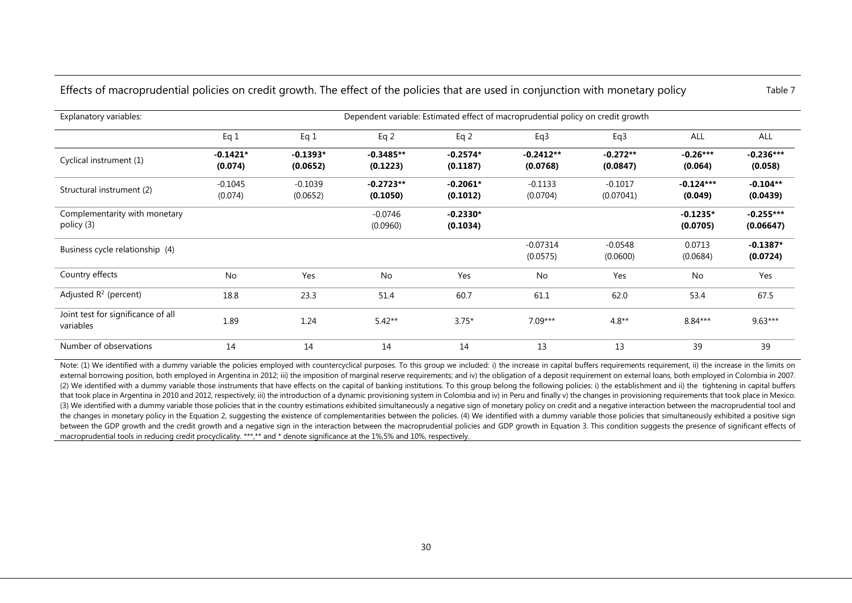| Effects of macroprudential policies on credit growth. The effect of the policies that are used in conjunction with monetary policy |  |  |  |  | Table 7 |
|------------------------------------------------------------------------------------------------------------------------------------|--|--|--|--|---------|
|------------------------------------------------------------------------------------------------------------------------------------|--|--|--|--|---------|

Explanatory variables: Dependent variable: Estimated effect of macroprudential policy on credit growth Eq 1 Eq 1 Eq 2 Eq 2 Eq3 Eq3 ALL ALL Cyclical instrument (1) **-0.1421\* (0.074) -0.1393\* (0.0652) -0.3485\*\* (0.1223) -0.2574\* (0.1187) -0.2412\*\* (0.0768) -0.272\*\* (0.0847) -0.26\*\*\* (0.064) -0.236\*\*\* (0.058)** Structural instrument (2)  $(2)$  -0.1045 (0.074) -0.1039 (0.0652) **-0.2723\*\* (0.1050) -0.2061\* (0.1012)** -0.1133 (0.0704) -0.1017 (0.07041) **-0.124\*\*\* (0.049) -0.104\*\* (0.0439)** Complementarity with monetary policy (3) -0.0746 (0.0960) **-0.2330\* (0.1034) -0.1235\* (0.0705) -0.255\*\*\* (0.06647)** Business cycle relationship (4) -0.07314 (0.0575) -0.0548 (0.0600) 0.0713 (0.0684) **-0.1387\* (0.0724)** Country effects No Yes No Yes No Yes No Yes Adjusted R<sup>2</sup> (percent) 18.8 23.3 51.4 60.7 61.1 62.0 53.4 67.5 Joint test for significance of all variables 1.89 1.24 5.42\*\* 3.75\* 7.09\*\*\* 4.8\*\* 8.84\*\*\* 9.63\*\*\* Number of observations 14 14 14 14 14 14 14 13 13 13 39 39

Note: (1) We identified with a dummy variable the policies employed with countercyclical purposes. To this group we included: i) the increase in capital buffers requirements requirement, ii) the increase in the limits on external borrowing position, both employed in Argentina in 2012; iii) the imposition of marginal reserve requirements; and iv) the obligation of a deposit requirement on external loans, both employed in Colombia in 2007. (2) We identified with a dummy variable those instruments that have effects on the capital of banking institutions. To this group belong the following policies: i) the establishment and ii) the tightening in capital buffer that took place in Argentina in 2010 and 2012, respectively; iii) the introduction of a dynamic provisioning system in Colombia and iv) in Peru and finally v) the changes in provisioning requirements that took place in Mex (3) We identified with a dummy variable those policies that in the country estimations exhibited simultaneously a negative sign of monetary policy on credit and a negative interaction between the macroprudential tool and the changes in monetary policy in the Equation 2, suggesting the existence of complementarities between the policies. (4) We identified with a dummy variable those policies that simultaneously exhibited a positive sign between the GDP growth and the credit growth and a negative sign in the interaction between the macroprudential policies and GDP growth in Equation 3. This condition suggests the presence of significant effects of macroprudential tools in reducing credit procyclicality. \*\*\*,\*\* and \* denote significance at the 1%,5% and 10%, respectively.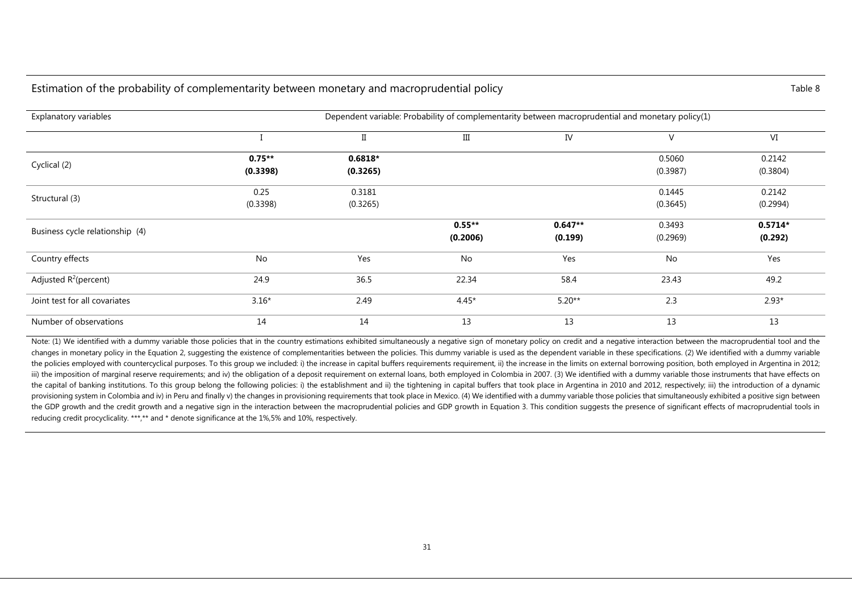#### Estimation of the probability of complementarity between monetary and macroprudential policy Table 8 Table 8

| Explanatory variables           |                      |                       | Dependent variable: Probability of complementarity between macroprudential and monetary policy(1) |                      |                    |                      |
|---------------------------------|----------------------|-----------------------|---------------------------------------------------------------------------------------------------|----------------------|--------------------|----------------------|
|                                 |                      | $\rm II$              | Ш                                                                                                 | IV                   | V                  | VI                   |
| Cyclical (2)                    | $0.75**$<br>(0.3398) | $0.6818*$<br>(0.3265) |                                                                                                   |                      | 0.5060<br>(0.3987) | 0.2142<br>(0.3804)   |
| Structural (3)                  | 0.25<br>(0.3398)     | 0.3181<br>(0.3265)    |                                                                                                   |                      | 0.1445<br>(0.3645) | 0.2142<br>(0.2994)   |
| Business cycle relationship (4) |                      |                       | $0.55**$<br>(0.2006)                                                                              | $0.647**$<br>(0.199) | 0.3493<br>(0.2969) | $0.5714*$<br>(0.292) |
| Country effects                 | No                   | Yes                   | No                                                                                                | Yes                  | No                 | Yes                  |
| Adjusted $R^2$ (percent)        | 24.9                 | 36.5                  | 22.34                                                                                             | 58.4                 | 23.43              | 49.2                 |
| Joint test for all covariates   | $3.16*$              | 2.49                  | $4.45*$                                                                                           | $5.20**$             | 2.3                | $2.93*$              |
| Number of observations          | 14                   | 14                    | 13                                                                                                | 13                   | 13                 | 13                   |

Note: (1) We identified with a dummy variable those policies that in the country estimations exhibited simultaneously a negative sign of monetary policy on credit and a negative interaction between the macroprudential tool changes in monetary policy in the Equation 2, suggesting the existence of complementarities between the policies. This dummy variable is used as the dependent variable in these specifications. (2) We identified with a dumm the policies emploved with countercyclical purposes. To this group we included: i) the increase in capital buffers requirements requirement. ii) the increase in the limits on external borrowing position, both emploved in A iii) the imposition of marginal reserve requirements; and iv) the obligation of a deposit requirement on external loans, both employed in Colombia in 2007. (3) We identified with a dummy variable those instruments that hav the capital of banking institutions. To this group belong the following policies: i) the establishment and ii) the tightening in capital buffers that took place in Argentina in 2010 and 2012, respectively; iii) the introdu provisioning system in Colombia and iv) in Peru and finally v) the changes in provisioning requirements that took place in Mexico. (4) We identified with a dummy variable those policies that simultaneously exhibited a posi the GDP growth and the credit growth and a negative sign in the interaction between the macroprudential policies and GDP growth in Equation 3. This condition suggests the presence of significant effects of macroprudential reducing credit procyclicality. \*\*\*,\*\* and \* denote significance at the 1%,5% and 10%, respectively.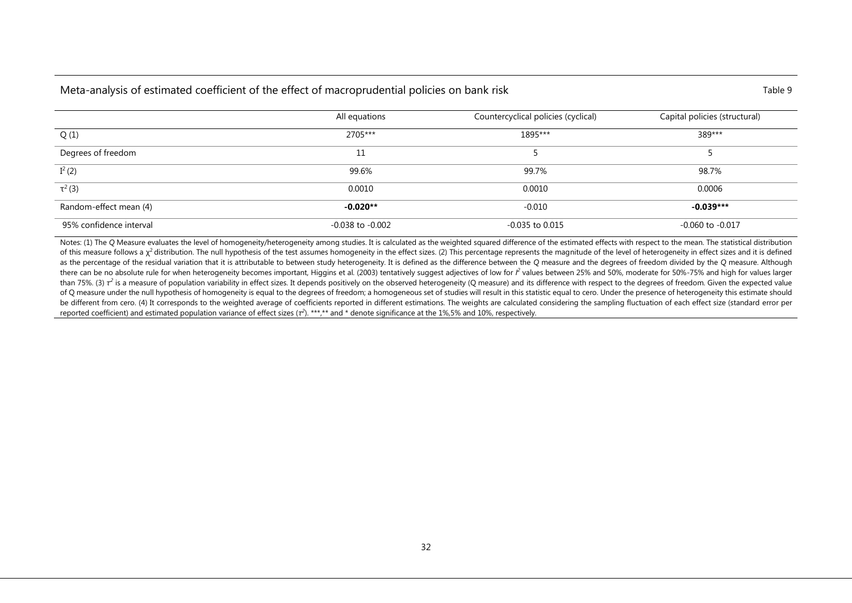### Meta-analysis of estimated coefficient of the effect of macroprudential policies on bank risk Table 9 Table 9

|                         | All equations    | Countercyclical policies (cyclical) | Capital policies (structural) |
|-------------------------|------------------|-------------------------------------|-------------------------------|
| Q(1)                    | 2705***          | 1895***                             | 389***                        |
| Degrees of freedom      | 11               |                                     |                               |
| $I^2(2)$                | 99.6%            | 99.7%                               | 98.7%                         |
| $\tau^2$ (3)            | 0.0010           | 0.0010                              | 0.0006                        |
| Random-effect mean (4)  | $-0.020**$       | $-0.010$                            | $-0.039***$                   |
| 95% confidence interval | -0.038 to -0.002 | -0.035 to 0.015                     | $-0.060$ to $-0.017$          |

Notes: (1) The Q Measure evaluates the level of homogeneity/heterogeneity among studies. It is calculated as the weighted squared difference of the estimated effects with respect to the mean. The statistical distribution of this measure follows a  $\chi^2$  distribution. The null hypothesis of the test assumes homogeneity in the effect sizes. (2) This percentage represents the magnitude of the level of heterogeneity in effect sizes and it is as the percentage of the residual variation that it is attributable to between study heterogeneity. It is defined as the difference between the Q measure and the degrees of freedom divided by the Q measure. Although there can be no absolute rule for when heterogeneity becomes important, Higgins et al. (2003) tentatively suggest adjectives of low for  $l^2$  values between 25% and 50%, moderate for 50%-75% and high for values larger than 75%. (3)  $\tau^2$  is a measure of population variability in effect sizes. It depends positively on the observed heterogeneity (Q measure) and its difference with respect to the degrees of freedom. Given the expected va of Q measure under the null hypothesis of homogeneity is equal to the degrees of freedom; a homogeneous set of studies will result in this statistic equal to cero. Under the presence of heterogeneity this estimate should be different from cero. (4) It corresponds to the weighted average of coefficients reported in different estimations. The weights are calculated considering the sampling fluctuation of each effect size (standard error per reported coefficient) and estimated population variance of effect sizes (τ<sup>2</sup>). \*\*\*,\*\* and \* denote significance at the 1%,5% and 10%, respectively.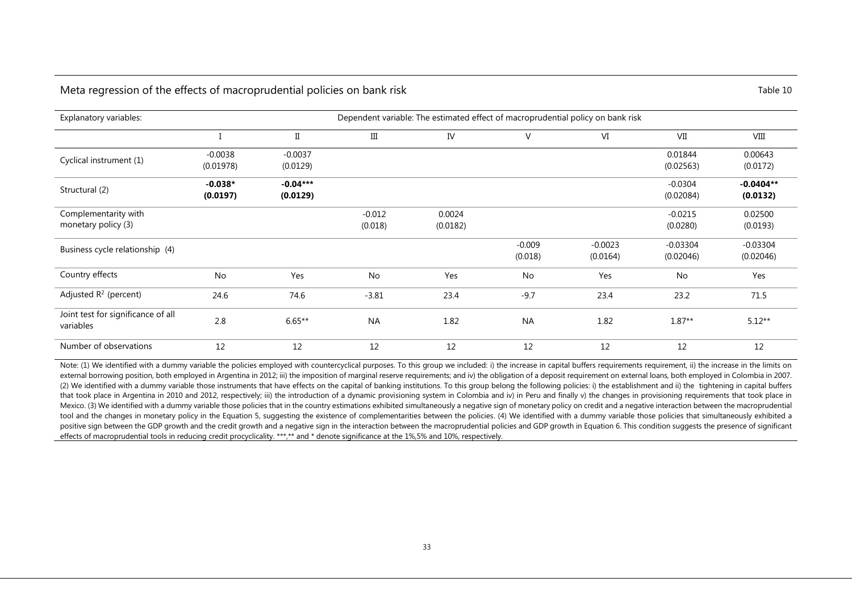#### Meta regression of the effects of macroprudential policies on bank risk Table 10

| Explanatory variables:                          | Dependent variable: The estimated effect of macroprudential policy on bank risk |                        |                     |                    |                     |                       |                         |                         |  |  |
|-------------------------------------------------|---------------------------------------------------------------------------------|------------------------|---------------------|--------------------|---------------------|-----------------------|-------------------------|-------------------------|--|--|
|                                                 |                                                                                 | $\scriptstyle\rm II$   | $\rm III$           | IV                 | V                   | VI                    | VII                     | VIII                    |  |  |
| Cyclical instrument (1)                         | $-0.0038$<br>(0.01978)                                                          | $-0.0037$<br>(0.0129)  |                     |                    |                     |                       | 0.01844<br>(0.02563)    | 0.00643<br>(0.0172)     |  |  |
| Structural (2)                                  | $-0.038*$<br>(0.0197)                                                           | $-0.04***$<br>(0.0129) |                     |                    |                     |                       | $-0.0304$<br>(0.02084)  | $-0.0404**$<br>(0.0132) |  |  |
| Complementarity with<br>monetary policy (3)     |                                                                                 |                        | $-0.012$<br>(0.018) | 0.0024<br>(0.0182) |                     |                       | $-0.0215$<br>(0.0280)   | 0.02500<br>(0.0193)     |  |  |
| Business cycle relationship (4)                 |                                                                                 |                        |                     |                    | $-0.009$<br>(0.018) | $-0.0023$<br>(0.0164) | $-0.03304$<br>(0.02046) | $-0.03304$<br>(0.02046) |  |  |
| Country effects                                 | No                                                                              | Yes                    | No                  | Yes                | No                  | Yes                   | No                      | Yes                     |  |  |
| Adjusted $R^2$ (percent)                        | 24.6                                                                            | 74.6                   | $-3.81$             | 23.4               | $-9.7$              | 23.4                  | 23.2                    | 71.5                    |  |  |
| Joint test for significance of all<br>variables | 2.8                                                                             | $6.65**$               | <b>NA</b>           | 1.82               | <b>NA</b>           | 1.82                  | $1.87**$                | $5.12**$                |  |  |
| Number of observations                          | 12                                                                              | 12                     | 12                  | 12                 | 12                  | 12                    | 12                      | 12                      |  |  |

Note: (1) We identified with a dummy variable the policies employed with countercyclical purposes. To this group we included: i) the increase in capital buffers requirements requirement, ii) the increase in the limits on external borrowing position, both employed in Argentina in 2012; iii) the imposition of marginal reserve requirements; and iv) the obligation of a deposit requirement on external loans, both employed in Colombia in 2007. (2) We identified with a dummy variable those instruments that have effects on the capital of banking institutions. To this group belong the following policies: i) the establishment and ii) the tightening in capital buffers that took place in Argentina in 2010 and 2012, respectively; iii) the introduction of a dynamic provisioning system in Colombia and iv) in Peru and finally v) the changes in provisioning requirements that took place in Mexico. (3) We identified with a dummy variable those policies that in the country estimations exhibited simultaneously a negative sign of monetary policy on credit and a negative interaction between the macroprudential tool and the changes in monetary policy in the Equation 5, suggesting the existence of complementarities between the policies. (4) We identified with a dummy variable those policies that simultaneously exhibited a positive sign between the GDP growth and the credit growth and a negative sign in the interaction between the macroprudential policies and GDP growth in Equation 6. This condition suggests the presence of significant effects of macroprudential tools in reducing credit procyclicality. \*\*\*,\*\* and \* denote significance at the 1%,5% and 10%, respectively.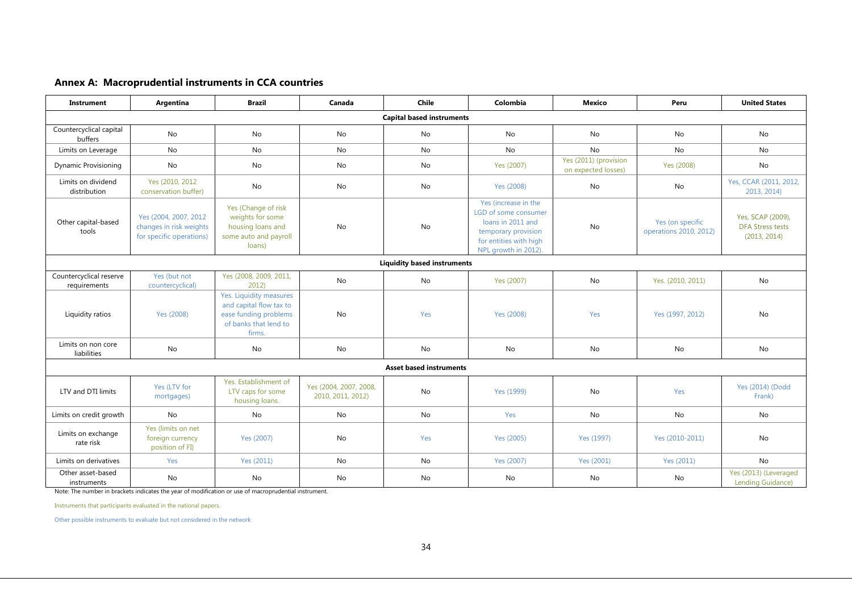#### **Annex A: Macroprudential instruments in CCA countries**

| Instrument                              | Argentina                                                                     | <b>Brazil</b>                                                                                                  | Canada                                      | Chile                          | Colombia                                                                                                                                   | <b>Mexico</b>                                | Peru                                       | <b>United States</b>                                         |  |  |  |
|-----------------------------------------|-------------------------------------------------------------------------------|----------------------------------------------------------------------------------------------------------------|---------------------------------------------|--------------------------------|--------------------------------------------------------------------------------------------------------------------------------------------|----------------------------------------------|--------------------------------------------|--------------------------------------------------------------|--|--|--|
| <b>Capital based instruments</b>        |                                                                               |                                                                                                                |                                             |                                |                                                                                                                                            |                                              |                                            |                                                              |  |  |  |
| Countercyclical capital<br>buffers      | No                                                                            | No                                                                                                             | No                                          | No                             | No                                                                                                                                         | No                                           | No                                         | No                                                           |  |  |  |
| Limits on Leverage                      | No                                                                            | <b>No</b>                                                                                                      | <b>No</b>                                   | <b>No</b>                      | No                                                                                                                                         | <b>No</b>                                    | <b>No</b>                                  | <b>No</b>                                                    |  |  |  |
| <b>Dynamic Provisioning</b>             | <b>No</b>                                                                     | No                                                                                                             | No                                          | No                             | Yes (2007)                                                                                                                                 | Yes (2011) (provision<br>on expected losses) | Yes (2008)                                 | <b>No</b>                                                    |  |  |  |
| Limits on dividend<br>distribution      | Yes (2010, 2012)<br>conservation buffer)                                      | No                                                                                                             | No                                          | No                             | Yes (2008)                                                                                                                                 | No                                           | No                                         | Yes, CCAR (2011, 2012,<br>2013, 2014)                        |  |  |  |
| Other capital-based<br>tools            | Yes (2004, 2007, 2012)<br>changes in risk weights<br>for specific operations) | Yes (Change of risk<br>weights for some<br>housing loans and<br>some auto and payroll<br>loans)                | No                                          | No                             | Yes (increase in the<br>LGD of some consumer<br>loans in 2011 and<br>temporary provision<br>for entities with high<br>NPL growth in 2012). | No                                           | Yes (on specific<br>operations 2010, 2012) | Yes, SCAP (2009),<br><b>DFA Stress tests</b><br>(2013, 2014) |  |  |  |
| <b>Liquidity based instruments</b>      |                                                                               |                                                                                                                |                                             |                                |                                                                                                                                            |                                              |                                            |                                                              |  |  |  |
| Countercyclical reserve<br>requirements | Yes (but not<br>countercyclical)                                              | Yes (2008, 2009, 2011,<br>2012                                                                                 | No                                          | No                             | Yes (2007)                                                                                                                                 | No                                           | Yes. (2010, 2011)                          | No                                                           |  |  |  |
| Liquidity ratios                        | Yes (2008)                                                                    | Yes. Liquidity measures<br>and capital flow tax to<br>ease funding problems<br>of banks that lend to<br>firms. | No                                          | Yes                            | Yes (2008)                                                                                                                                 | Yes                                          | Yes (1997, 2012)                           | <b>No</b>                                                    |  |  |  |
| Limits on non core<br>liabilities       | No                                                                            | No                                                                                                             | No                                          | No                             | No                                                                                                                                         | No                                           | No                                         | No                                                           |  |  |  |
|                                         |                                                                               |                                                                                                                |                                             | <b>Asset based instruments</b> |                                                                                                                                            |                                              |                                            |                                                              |  |  |  |
| LTV and DTI limits                      | Yes (LTV for<br>mortgages)                                                    | Yes. Establishment of<br>LTV caps for some<br>housing loans.                                                   | Yes (2004, 2007, 2008,<br>2010, 2011, 2012) | <b>No</b>                      | Yes (1999)                                                                                                                                 | <b>No</b>                                    | Yes                                        | Yes (2014) (Dodd<br>Frank)                                   |  |  |  |
| Limits on credit growth                 | <b>No</b>                                                                     | No                                                                                                             | No                                          | No                             | Yes                                                                                                                                        | No                                           | No                                         | No                                                           |  |  |  |
| Limits on exchange<br>rate risk         | Yes (limits on net<br>foreign currency<br>position of FI)                     | Yes (2007)                                                                                                     | No                                          | Yes                            | Yes (2005)                                                                                                                                 | Yes (1997)                                   | Yes (2010-2011)                            | No                                                           |  |  |  |
| Limits on derivatives                   | Yes                                                                           | Yes (2011)                                                                                                     | <b>No</b>                                   | <b>No</b>                      | Yes (2007)                                                                                                                                 | Yes (2001)                                   | Yes (2011)                                 | <b>No</b>                                                    |  |  |  |
| Other asset-based<br>instruments        | No                                                                            | No                                                                                                             | No                                          | No                             | No                                                                                                                                         | No                                           | No                                         | Yes (2013) (Leveraged<br>Lending Guidance)                   |  |  |  |

Note: The number in brackets indicates the year of modification or use of macroprudential instrument.

Instruments that participants evaluated in the national papers.

Other possible instruments to evaluate but not considered in the network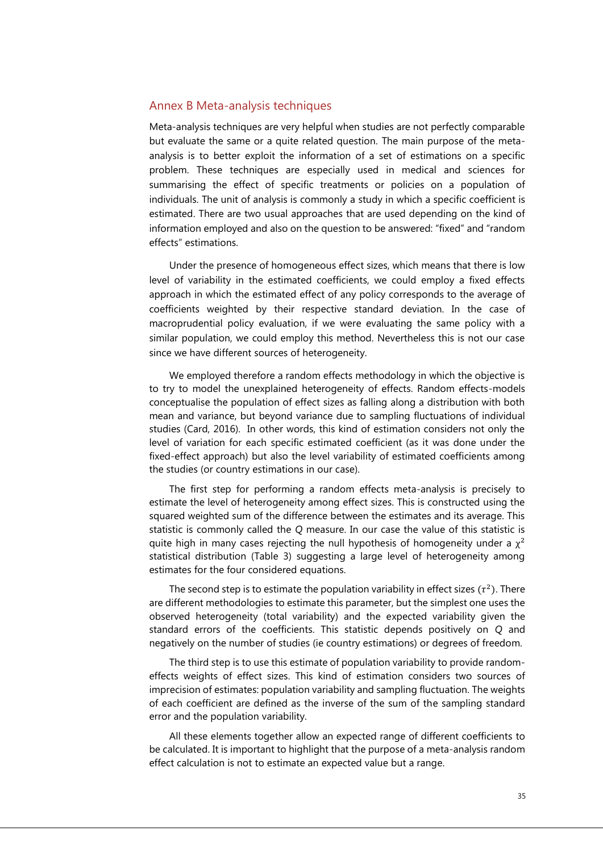#### Annex B Meta-analysis techniques

Meta-analysis techniques are very helpful when studies are not perfectly comparable but evaluate the same or a quite related question. The main purpose of the metaanalysis is to better exploit the information of a set of estimations on a specific problem. These techniques are especially used in medical and sciences for summarising the effect of specific treatments or policies on a population of individuals. The unit of analysis is commonly a study in which a specific coefficient is estimated. There are two usual approaches that are used depending on the kind of information employed and also on the question to be answered: "fixed" and "random effects" estimations.

Under the presence of homogeneous effect sizes, which means that there is low level of variability in the estimated coefficients, we could employ a fixed effects approach in which the estimated effect of any policy corresponds to the average of coefficients weighted by their respective standard deviation. In the case of macroprudential policy evaluation, if we were evaluating the same policy with a similar population, we could employ this method. Nevertheless this is not our case since we have different sources of heterogeneity.

We employed therefore a random effects methodology in which the objective is to try to model the unexplained heterogeneity of effects. Random effects-models conceptualise the population of effect sizes as falling along a distribution with both mean and variance, but beyond variance due to sampling fluctuations of individual studies (Card, 2016). In other words, this kind of estimation considers not only the level of variation for each specific estimated coefficient (as it was done under the fixed-effect approach) but also the level variability of estimated coefficients among the studies (or country estimations in our case).

The first step for performing a random effects meta-analysis is precisely to estimate the level of heterogeneity among effect sizes. This is constructed using the squared weighted sum of the difference between the estimates and its average. This statistic is commonly called the *Q* measure. In our case the value of this statistic is quite high in many cases rejecting the null hypothesis of homogeneity under a  $\chi^2$ statistical distribution (Table 3) suggesting a large level of heterogeneity among estimates for the four considered equations.

The second step is to estimate the population variability in effect sizes ( $\tau^2$ ). There are different methodologies to estimate this parameter, but the simplest one uses the observed heterogeneity (total variability) and the expected variability given the standard errors of the coefficients. This statistic depends positively on *Q* and negatively on the number of studies (ie country estimations) or degrees of freedom*.* 

The third step is to use this estimate of population variability to provide randomeffects weights of effect sizes. This kind of estimation considers two sources of imprecision of estimates: population variability and sampling fluctuation. The weights of each coefficient are defined as the inverse of the sum of the sampling standard error and the population variability.

All these elements together allow an expected range of different coefficients to be calculated. It is important to highlight that the purpose of a meta-analysis random effect calculation is not to estimate an expected value but a range.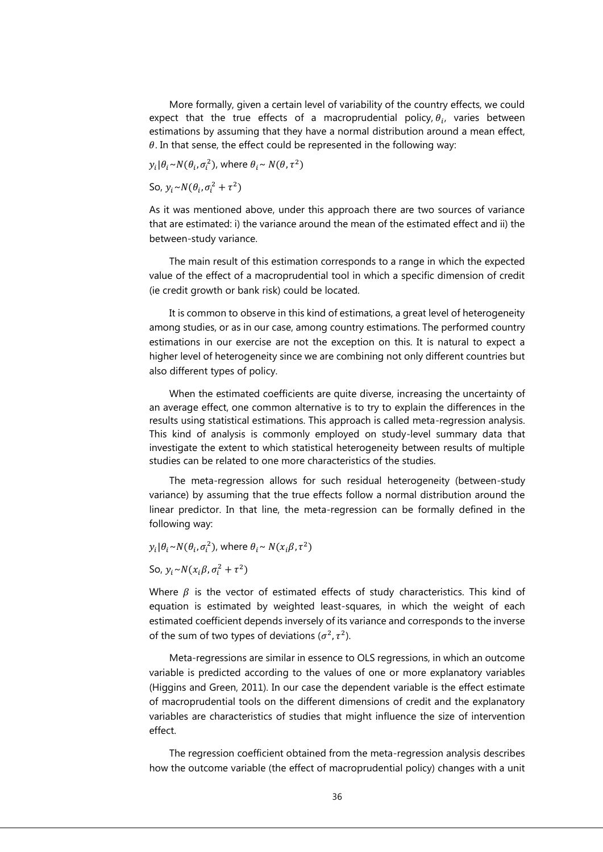More formally, given a certain level of variability of the country effects, we could expect that the true effects of a macroprudential policy,  $\theta_i$ , varies between estimations by assuming that they have a normal distribution around a mean effect,  $\theta$ . In that sense, the effect could be represented in the following way:

 $y_i | \theta_i \sim N(\theta_i, \sigma_i^2)$ , where  $\theta_i \sim N(\theta, \tau^2)$ 

So,  $y_i \sim N(\theta_i, \sigma_i^2 + \tau^2)$ 

As it was mentioned above, under this approach there are two sources of variance that are estimated: i) the variance around the mean of the estimated effect and ii) the between-study variance.

The main result of this estimation corresponds to a range in which the expected value of the effect of a macroprudential tool in which a specific dimension of credit (ie credit growth or bank risk) could be located.

It is common to observe in this kind of estimations, a great level of heterogeneity among studies, or as in our case, among country estimations. The performed country estimations in our exercise are not the exception on this. It is natural to expect a higher level of heterogeneity since we are combining not only different countries but also different types of policy.

When the estimated coefficients are quite diverse, increasing the uncertainty of an average effect, one common alternative is to try to explain the differences in the results using statistical estimations. This approach is called meta-regression analysis. This kind of analysis is commonly employed on study-level summary data that investigate the extent to which statistical heterogeneity between results of multiple studies can be related to one more characteristics of the studies.

The meta-regression allows for such residual heterogeneity (between-study variance) by assuming that the true effects follow a normal distribution around the linear predictor. In that line, the meta-regression can be formally defined in the following way:

 $y_i | \theta_i \sim N(\theta_i, \sigma_i^2)$ , where  $\theta_i \sim N(x_i \beta, \tau^2)$ 

So,  $y_i \sim N(x_i \beta, \sigma_i^2 + \tau^2)$ 

Where  $\beta$  is the vector of estimated effects of study characteristics. This kind of equation is estimated by weighted least-squares, in which the weight of each estimated coefficient depends inversely of its variance and corresponds to the inverse of the sum of two types of deviations ( $\sigma^2$ ,  $\tau^2$ ).

Meta-regressions are similar in essence to OLS regressions, in which an outcome variable is predicted according to the values of one or more explanatory variables (Higgins and Green, 2011). In our case the dependent variable is the effect estimate of macroprudential tools on the different dimensions of credit and the explanatory variables are characteristics of studies that might influence the size of intervention effect.

The regression coefficient obtained from the meta-regression analysis describes how the outcome variable (the effect of macroprudential policy) changes with a unit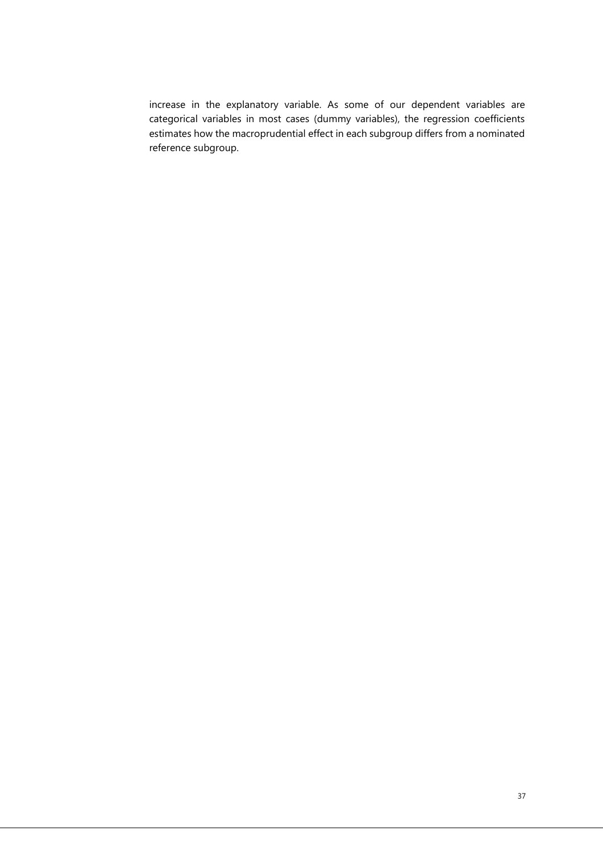increase in the explanatory variable. As some of our dependent variables are categorical variables in most cases (dummy variables), the regression coefficients estimates how the macroprudential effect in each subgroup differs from a nominated reference subgroup.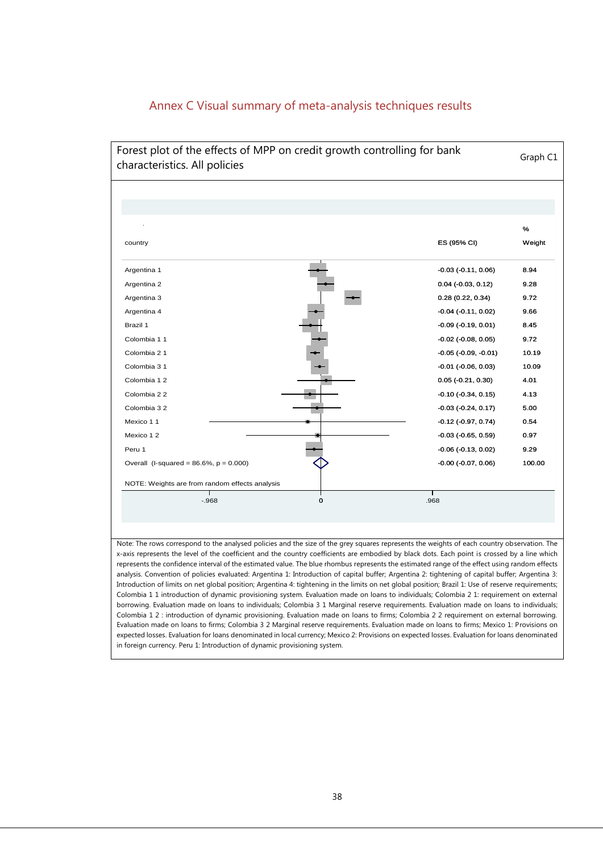

## Annex C Visual summary of meta-analysis techniques results

x-axis represents the level of the coefficient and the country coefficients are embodied by black dots. Each point is crossed by a line which represents the confidence interval of the estimated value. The blue rhombus represents the estimated range of the effect using random effects analysis. Convention of policies evaluated: Argentina 1: Introduction of capital buffer; Argentina 2: tightening of capital buffer; Argentina 3: Introduction of limits on net global position; Argentina 4: tightening in the limits on net global position; Brazil 1: Use of reserve requirements; Colombia 1 1 introduction of dynamic provisioning system. Evaluation made on loans to individuals; Colombia 2 1: requirement on external borrowing. Evaluation made on loans to individuals; Colombia 3 1 Marginal reserve requirements. Evaluation made on loans to individuals; Colombia 1 2 : introduction of dynamic provisioning. Evaluation made on loans to firms; Colombia 2 2 requirement on external borrowing. Evaluation made on loans to firms; Colombia 3 2 Marginal reserve requirements. Evaluation made on loans to firms; Mexico 1: Provisions on expected losses. Evaluation for loans denominated in local currency; Mexico 2: Provisions on expected losses. Evaluation for loans denominated in foreign currency. Peru 1: Introduction of dynamic provisioning system.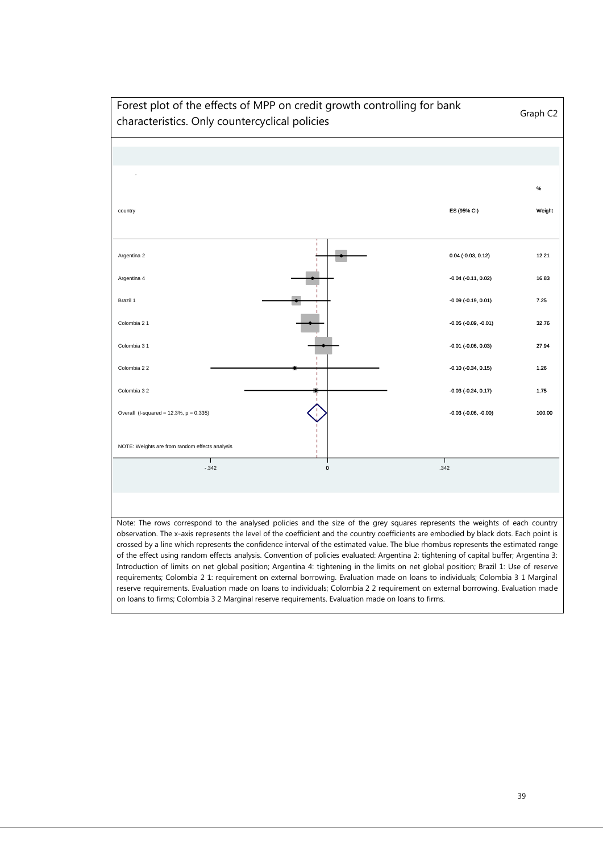

on loans to firms; Colombia 3 2 Marginal reserve requirements. Evaluation made on loans to firms.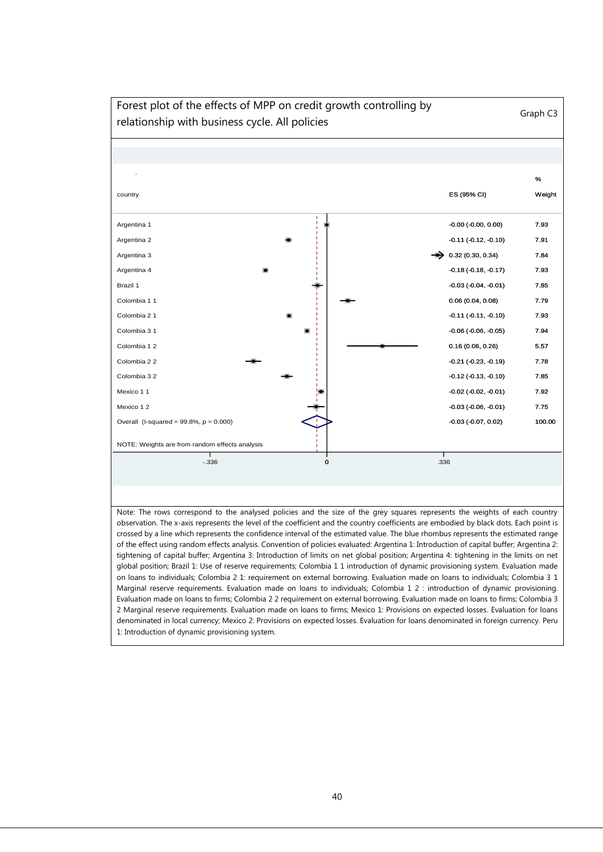

#### 40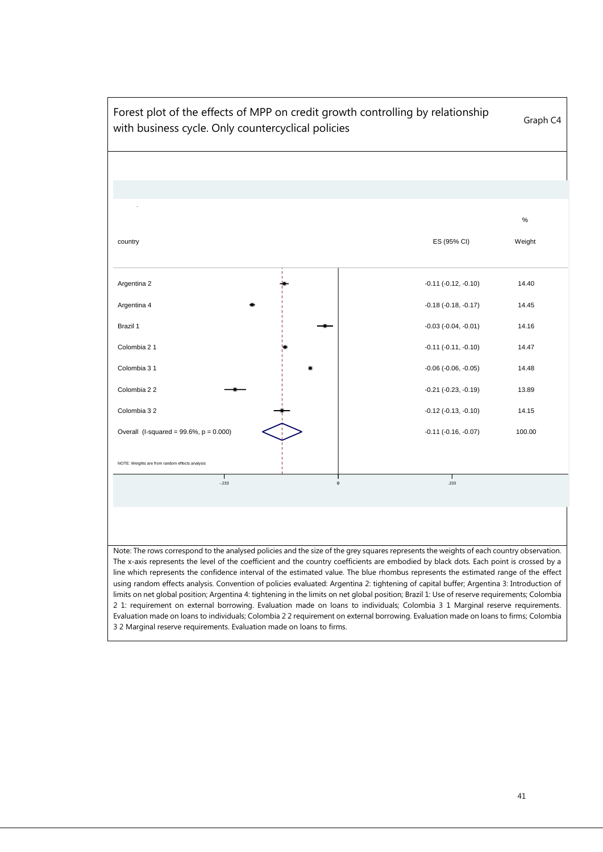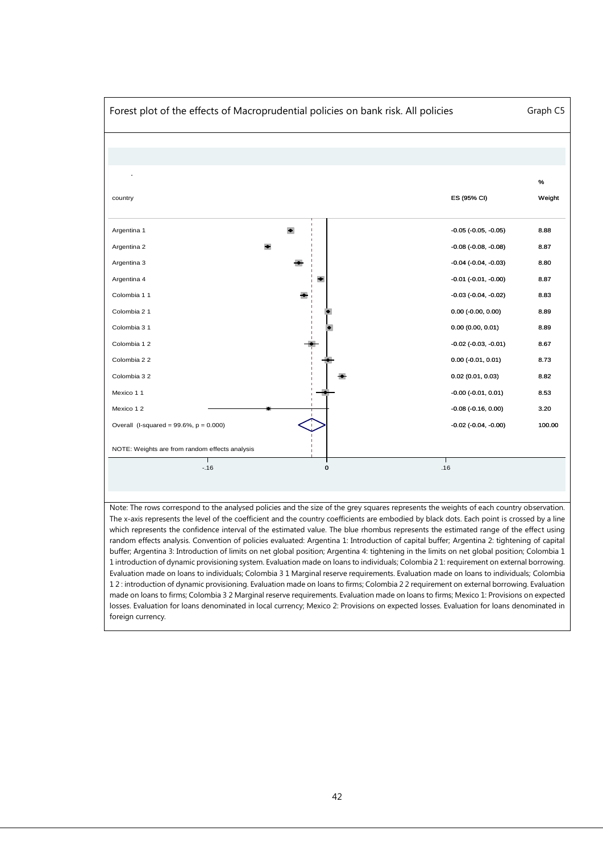

Note: The rows correspond to the analysed policies and the size of the grey squares represents the weights of each country observation. The x-axis represents the level of the coefficient and the country coefficients are embodied by black dots. Each point is crossed by a line which represents the confidence interval of the estimated value. The blue rhombus represents the estimated range of the effect using random effects analysis. Convention of policies evaluated: Argentina 1: Introduction of capital buffer; Argentina 2: tightening of capital buffer; Argentina 3: Introduction of limits on net global position; Argentina 4: tightening in the limits on net global position; Colombia 1 1 introduction of dynamic provisioning system. Evaluation made on loans to individuals; Colombia 2 1: requirement on external borrowing. Evaluation made on loans to individuals; Colombia 3 1 Marginal reserve requirements. Evaluation made on loans to individuals; Colombia 1 2 : introduction of dynamic provisioning. Evaluation made on loans to firms; Colombia 2 2 requirement on external borrowing. Evaluation made on loans to firms; Colombia 3 2 Marginal reserve requirements. Evaluation made on loans to firms; Mexico 1: Provisions on expected losses. Evaluation for loans denominated in local currency; Mexico 2: Provisions on expected losses. Evaluation for loans denominated in foreign currency.